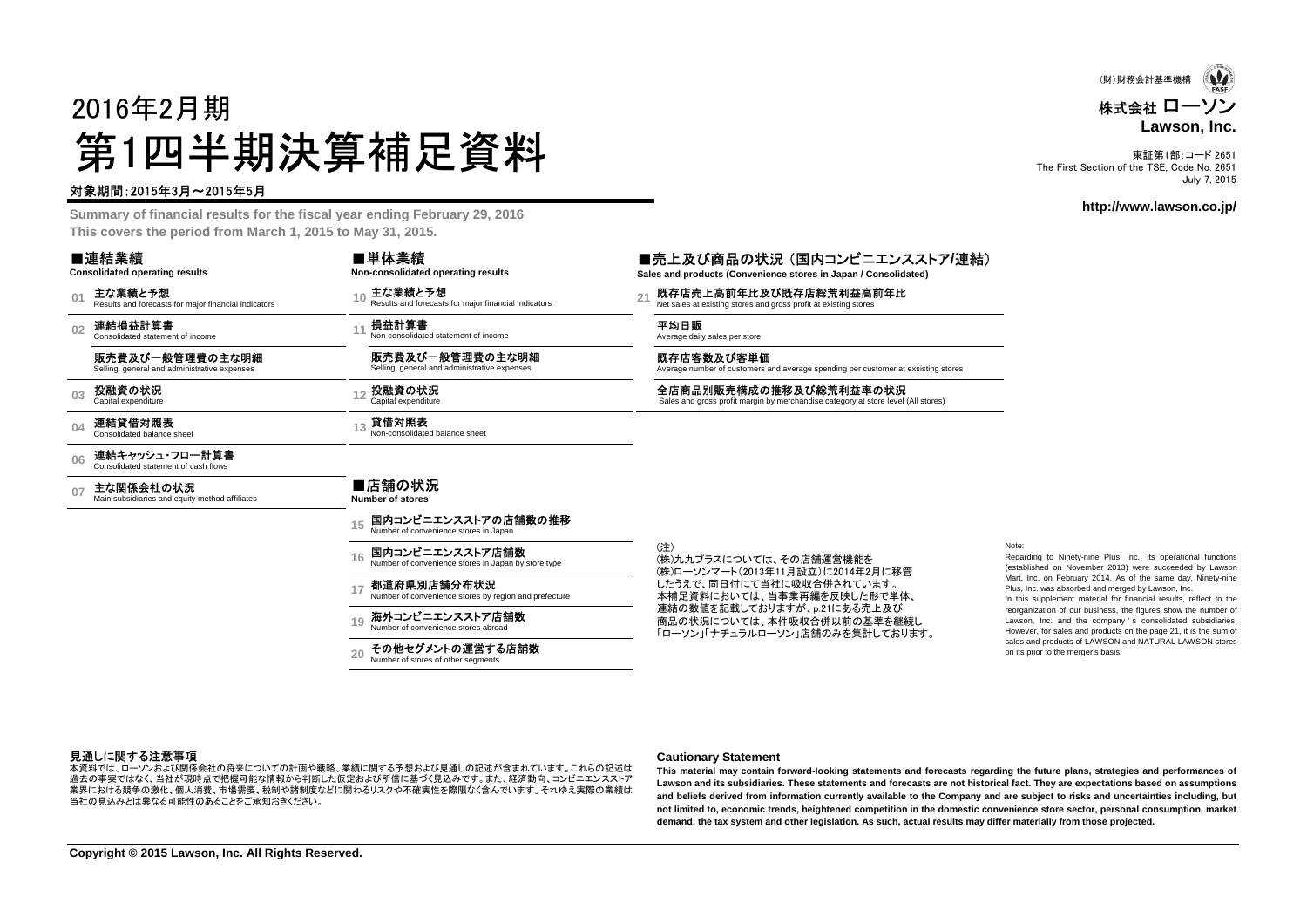# 2016年2月期第1四半期決算補足資料

#### 対象期間:2015年3月~2015年5月

 **Summary of financial results for the fiscal year ending February 29, 2016This covers the period from March 1, 2015 to May 31, 2015.**

|                | ■連結業績<br><b>Consolidated operating results</b>                  | ■単体業績<br>Non-consolidated operating results                            | ■売上及び商品の∤<br>Sales and products (Conver     |
|----------------|-----------------------------------------------------------------|------------------------------------------------------------------------|---------------------------------------------|
| 0 <sub>1</sub> | 主な業績と予想<br>Results and forecasts for major financial indicators | 主な業績と予想<br>Results and forecasts for major financial indicators        | 既存店売上高前年比<br>Net sales at existing stores a |
| 02             | 連結損益計算書<br>Consolidated statement of income                     | 損益計算書<br>Non-consolidated statement of income                          | 平均日販<br>Average daily sales per store       |
|                | 販売費及び一般管理費の主な明細<br>Selling, general and administrative expenses | 販売費及び一般管理費の主な明細<br>Selling, general and administrative expenses        | 既存店客数及び客単<br>Average number of customer     |
| 0 <sub>3</sub> | 投融資の状況<br>Capital expenditure                                   | 投融資の状況<br>Capital expenditure                                          | 全店商品別販売構成<br>Sales and gross profit margi   |
| 04             | 連結貸借対照表<br>Consolidated balance sheet                           | 貸借対照表<br>Non-consolidated balance sheet                                |                                             |
| 06             | 連結キャッシュ・フロー計算書<br>Consolidated statement of cash flows          |                                                                        |                                             |
| 07             | 主な関係会社の状況<br>Main subsidiaries and equity method affiliates     | ■店舗の状況<br>Number of stores                                             |                                             |
|                |                                                                 | 国内コンビニエンスストアの店舗数の推移<br>Number of convenience stores in Japan           |                                             |
|                |                                                                 | 国内コンビニエンスストア店舗数<br>Number of convenience stores in Japan by store type | (注)<br>(株)九九プラスについて<br>(株)ローソンマート(201)      |
|                |                                                                 | 都道府県別店舗分布状況<br>Number of convenience stores by region and prefecture   | したうえで、同日付にて<br>本補足資料においては                   |
|                |                                                                 | 海外コンビニエンスストア店舗数<br>19<br>Number of convenience stores abroad           | 連結の数値を記載して<br>商品の状況については<br>「ローソン」「ナチュラル!   |
|                |                                                                 | その他セグメントの運営する店舗数<br>Number of stores of other segments                 |                                             |

株式会社 ローソン **Lawson, Inc.**(財)財務会計基準機構

東証第1部:コード 2651 The First Section of the TSE, Code No. 2651July 7, 2015

#### **http://www.lawson.co.jp/**

### ■売上及び商品の状況 (国内コンビニエンスストア/連結)<br><sub>Sales and products (Convenience stores in Japan / Consolidated)</sub>

**Sales and Convenience stores in Japan / Consolidated)** 

**|高前年比及び既存店総荒利益高前年比**<br>sting stores and gross profit at existing stores

及び客単価

Average number of customers and average spending per customer at exsisting stores

販売構成の推移及び総荒利益率の状況<br>s profit margin by merchandise category at store level (All stores)

スについては、その店舗運営機能を (株)ローソンマート(2013年11月設立)に2014年2月に移管したうえで、同日付にて当社に吸収合併されています。 本補足資料においては、当事業再編を反映した形で単体、を記載しておりますが、p.21にある売上及び 商品の状況については、本件吸収合併以前の基準を継続し「ローソン」「ナチュラルローソン」店舗のみを集計しております。

#### Note:

 Regarding to Ninety-nine Plus, Inc., its operational functions (established on November 2013) were succeeded by Lawson Mart, Inc. on February 2014. As of the same day, Ninety-ninePlus, Inc. was absorbed and merged by Lawson, Inc.

 In this supplement material for financial results, reflect to the reorganization of our business, the figures show the number of Lawson, Inc. and the company ' <sup>s</sup> consolidated subsidiaries. However, for sales and products on the page 21, it is the sum of sales and products of LAWSON and NATURAL LAWSON storeson its prior to the merger's basis.

#### 見通しに関する注意事項

 過去の事実ではなく、当社が現時点で把握可能な情報から判断した仮定および所信に基づく見込みです。また、経済動向、コンビニエンスストア本資料では、ローソンおよび関係会社の将来についての計画や戦略、業績に関する予想および見通しの記述が含まれています。これらの記述は 業界における競争の激化、個人消費、市場需要、税制や諸制度などに関わるリスクや不確実性を際限なく含んでいます。それゆえ実際の業績は当社の見込みとは異なる可能性のあることをご承知おきください。

#### **Cautionary Statement**

This material may contain forward-looking statements and forecasts regarding the future plans, strategies and performances of Lawson and its subsidiaries. These statements and forecasts are not historical fact. They are expectations based on assumptions and beliefs derived from information currently available to the Company and are subject to risks and uncertainties including, but not limited to, economic trends, heightened competition in the domestic convenience store sector, personal consumption, market **demand, the tax system and other legislation. As such, actual results may differ materially from those projected.**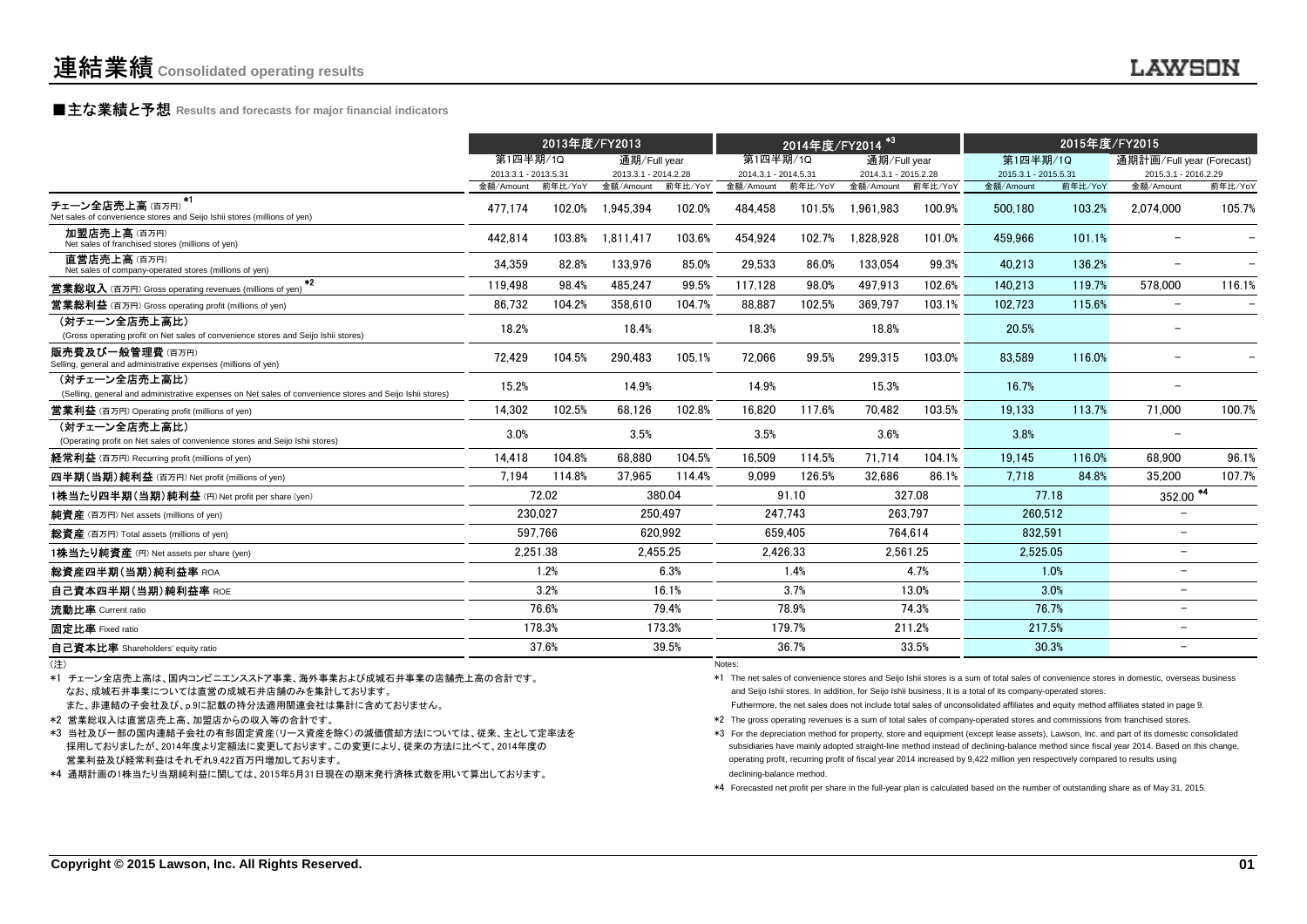## **■主な業績と予想** Results and forecasts for major financial indicators<br>
————————————————————

|                                                                                                                           | 2013年度/FY2013                     |          |                                   | 2014年度/FY2014 <sup>*3</sup> |                                   |          | 2015年度/FY2015                     |         |                                   |         |                                   |         |
|---------------------------------------------------------------------------------------------------------------------------|-----------------------------------|----------|-----------------------------------|-----------------------------|-----------------------------------|----------|-----------------------------------|---------|-----------------------------------|---------|-----------------------------------|---------|
|                                                                                                                           | 第1四半期/1Q                          |          | 通期/Full year                      |                             | 第1四半期/10                          |          | 通期/Full year                      |         | 第1四半期/1Q                          |         | 通期計画/Full year (Forecast)         |         |
|                                                                                                                           | 2013.3.1 - 2013.5.31<br>金額/Amount | 前年比/YoY  | 2013.3.1 - 2014.2.28<br>金額/Amount | 前年比/YoY                     | 2014.3.1 - 2014.5.31<br>金額/Amount | 前年比/YoY  | 2014.3.1 - 2015.2.28<br>金額/Amount | 前年比/YoY | 2015.3.1 - 2015.5.31<br>金額/Amount | 前年比/YoY | 2015.3.1 - 2016.2.29<br>金額/Amount | 前年比/YoY |
| $*1$<br>チェーン全店売上高(百万円)<br>Net sales of convenience stores and Seijo Ishii stores (millions of yen)                        | 477.174                           | 102.0%   | 1.945.394                         | 102.0%                      | 484.458                           | 101.5%   | 1.961.983                         | 100.9%  | 500.180                           | 103.2%  | 2.074.000                         | 105.7%  |
| 加盟店売上高(百万円)<br>Net sales of franchised stores (millions of yen)                                                           | 442,814                           | 103.8%   | 1,811,417                         | 103.6%                      | 454,924                           | 102.7%   | 1.828.928                         | 101.0%  | 459.966                           | 101.1%  |                                   |         |
| 直営店売上高(百万円)<br>Net sales of company-operated stores (millions of yen)                                                     | 34,359                            | 82.8%    | 133.976                           | 85.0%                       | 29,533                            | 86.0%    | 133.054                           | 99.3%   | 40.213                            | 136.2%  | $\overline{\phantom{m}}$          |         |
| $*2$<br><b>営業総収入</b> (百万円) Gross operating revenues (millions of yen)                                                     | 119.498                           | 98.4%    | 485.247                           | 99.5%                       | 117.128                           | 98.0%    | 497.913                           | 102.6%  | 140.213                           | 119.7%  | 578,000                           | 116.1%  |
| <b>営業総利益</b> (百万円) Gross operating profit (millions of yen)                                                               | 86,732                            | 104.2%   | 358.610                           | 104.7%                      | 88.887                            | 102.5%   | 369.797                           | 103.1%  | 102.723                           | 115.6%  | $\overline{\phantom{m}}$          |         |
| (対チェーン全店売上高比)<br>(Gross operating profit on Net sales of convenience stores and Seijo Ishii stores)                       | 18.2%                             |          | 18.4%                             |                             | 18.3%                             |          | 18.8%                             |         | 20.5%                             |         | $\overline{\phantom{a}}$          |         |
| 販売費及び一般管理費 (百万円)<br>Selling, general and administrative expenses (millions of yen)                                        | 72,429                            | 104.5%   | 290,483                           | 105.1%                      | 72,066                            | 99.5%    | 299,315                           | 103.0%  | 83,589                            | 116.0%  |                                   |         |
| (対チェーン全店売上高比)<br>(Selling, general and administrative expenses on Net sales of convenience stores and Seijo Ishii stores) | 15.2%                             |          | 14.9%                             |                             | 14.9%                             |          | 15.3%                             |         | 16.7%                             |         | $\overline{\phantom{a}}$          |         |
| <b>営業利益</b> (百万円) Operating profit (millions of yen)                                                                      | 14.302                            | 102.5%   | 68.126                            | 102.8%                      | 16.820                            | 117.6%   | 70.482                            | 103.5%  | 19.133                            | 113.7%  | 71.000                            | 100.7%  |
| (対チェーン全店売上高比)<br>(Operating profit on Net sales of convenience stores and Seijo Ishii stores)                             | 3.0%                              |          | 3.5%                              |                             | 3.5%                              |          | 3.6%                              |         | 3.8%                              |         |                                   |         |
| 経常利益 (百万円) Recurring profit (millions of yen)                                                                             | 14,418                            | 104.8%   | 68.880                            | 104.5%                      | 16,509                            | 114.5%   | 71.714                            | 104.1%  | 19.145                            | 116.0%  | 68.900                            | 96.1%   |
| 四半期(当期)純利益 (百万円) Net profit (millions of yen)                                                                             | 7.194                             | 114.8%   | 37,965                            | 114.4%                      | 9.099                             | 126.5%   | 32.686                            | 86.1%   | 7.718                             | 84.8%   | 35.200                            | 107.7%  |
| 1株当たり四半期(当期)純利益(円)Net profit per share (yen)                                                                              |                                   | 72.02    |                                   | 380.04                      |                                   | 91.10    |                                   | 327.08  | 77.18                             |         | $\frac{352.00}{4}$                |         |
| 純資産 (百万円) Net assets (millions of yen)                                                                                    |                                   | 230.027  |                                   | 250.497                     |                                   | 247.743  |                                   | 263.797 | 260.512                           |         | $\overline{\phantom{m}}$          |         |
| 総資産 (百万円) Total assets (millions of yen)                                                                                  |                                   | 597.766  |                                   | 620.992                     |                                   | 659.405  |                                   | 764.614 | 832.591                           |         | $\overline{\phantom{m}}$          |         |
| 1株当たり純資産 (円) Net assets per share (yen)                                                                                   |                                   | 2.251.38 | 2.455.25                          |                             |                                   | 2.426.33 | 2.561.25                          |         | 2.525.05                          |         | $\overline{\phantom{a}}$          |         |
| 総資産四半期(当期)純利益率 ROA                                                                                                        |                                   | 1.2%     |                                   | 6.3%                        |                                   | 1.4%     |                                   | 4.7%    |                                   | 1.0%    | $\overline{\phantom{a}}$          |         |
| 自己資本四半期(当期)純利益率 ROE                                                                                                       |                                   | 3.2%     |                                   | 16.1%                       |                                   | 3.7%     |                                   | 13.0%   |                                   | 3.0%    | $\qquad \qquad -$                 |         |
| 流動比率 Current ratio                                                                                                        |                                   | 76.6%    |                                   | 79.4%                       |                                   | 78.9%    |                                   | 74.3%   | 76.7%                             |         | $\overline{\phantom{a}}$          |         |
| 固定比率 Fixed ratio                                                                                                          |                                   | 178.3%   |                                   | 173.3%                      |                                   | 179.7%   |                                   | 211.2%  | 217.5%                            |         | $\overline{\phantom{0}}$          |         |
| 自己資本比率 Shareholders' equity ratio                                                                                         |                                   | 37.6%    |                                   | 39.5%                       |                                   | 36.7%    |                                   | 33.5%   | 30.3%                             |         | $\overline{\phantom{a}}$          |         |
|                                                                                                                           |                                   |          |                                   |                             | Maton:                            |          |                                   |         |                                   |         |                                   |         |

(注)

\*1 チェーン全店売上高は、国内コンビニエンスストア事業、海外事業および成城石井事業の店舗売上高の合計です。なお、成城石井事業については直営の成城石井店舗のみを集計しております。

また、非連結の子会社及び、p.9に記載の持分法適用関連会社は集計に含めておりません。

\*2 営業総収入は直営店売上高、加盟店からの収入等の合計です。

 \*3 当社及び一部の国内連結子会社の有形固定資産(リース資産を除く)の減価償却方法については、従来、主として定率法を採用しておりましたが、2014年度より定額法に変更しております。この変更により、従来の方法に比べて、2014年度の営業利益及び経常利益はそれぞれ9,422百万円増加しております。

\*4 通期計画の1株当たり当期純利益に関しては、2015年5月31日現在の期末発行済株式数を用いて算出しております。

) Notes:

\*1 The net sales of convenience stores and Seijo Ishii stores is a sum of total sales of convenience stores in domestic, overseas businessand Seijo Ishii stores. In addition, for Seijo Ishii business, It is a total of its company-operated stores.

Futhermore, the net sales does not include total sales of unconsolidated affiliates and equity method affiliates stated in page 9.

\*2 The gross operating revenues is a sum of total sales of company-operated stores and commissions from franchised stores.

\*3 For the depreciation method for property, store and equipment (except lease assets), Lawson, Inc. and part of its domestic consolidated<br>Consolidated assets a property administration method included of declining hologes subsidiaries have mainly adopted straight-line method instead of declining-balance method since fiscal year 2014. Based on this change, operating profit, recurring profit of fiscal year 2014 increased by 9,422 million yen respectively compared to results using declining-balance method.

\*4 Forecasted net profit per share in the full-year plan is calculated based on the number of outstanding share as of May 31, 2015.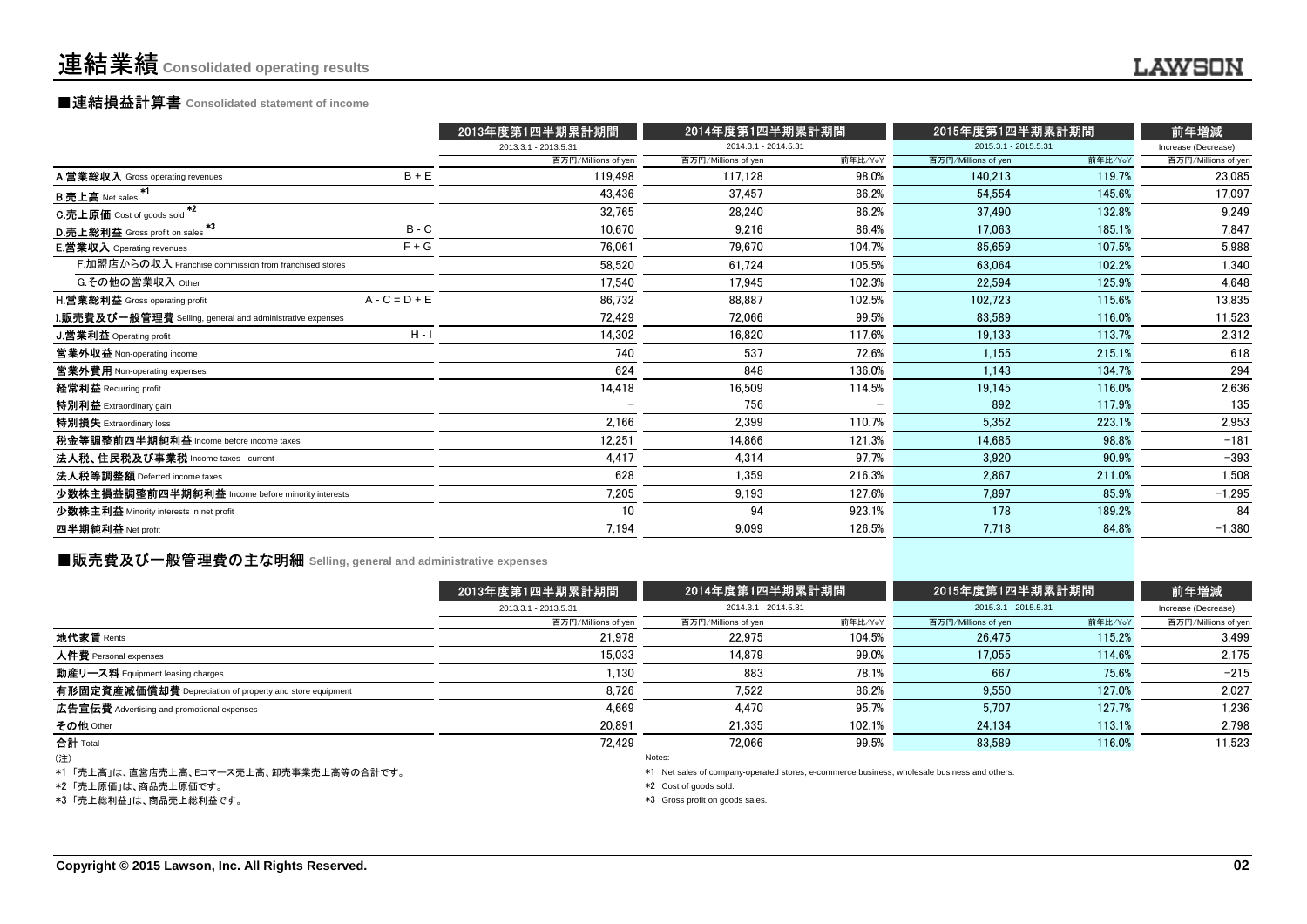## ■連結損益計算書 **Consolidated statement of income**

|                                                                  |                 | 2013年度第1四半期累計期間      | 2014年度第1四半期累計期間      |         | 2015年度第1四半期累計期間      |         | 前年増減                |
|------------------------------------------------------------------|-----------------|----------------------|----------------------|---------|----------------------|---------|---------------------|
|                                                                  |                 | 2013.3.1 - 2013.5.31 | 2014.3.1 - 2014.5.31 |         | 2015.3.1 - 2015.5.31 |         | Increase (Decrease) |
|                                                                  |                 | 百万円/Millions of yen  | 百万円/Millions of yen  | 前年比/YoY | 百万円/Millions of yen  | 前年比/YoY | 百万円/Millions of yer |
| A.営業総収入 Gross operating revenues                                 | $B + E$         | 119.498              | 117.128              | 98.0%   | 140.213              | 119.7%  | 23,085              |
| <b>B.売上高 Net sales</b>                                           |                 | 43.436               | 37.457               | 86.2%   | 54.554               | 145.6%  | 17,097              |
| $*2$<br>C.売上原価 Cost of goods sold                                |                 | 32,765               | 28,240               | 86.2%   | 37,490               | 132.8%  | 9,249               |
| $*3$<br>D.売上総利益 Gross profit on sales                            | $B - C$         | 10,670               | 9.216                | 86.4%   | 17.063               | 185.1%  | 7,847               |
| <b>E.営業収入</b> Operating revenues                                 | $F + G$         | 76,061               | 79,670               | 104.7%  | 85.659               | 107.5%  | 5,988               |
| F.加盟店からの収入 Franchise commission from franchised stores           |                 | 58,520               | 61,724               | 105.5%  | 63.064               | 102.2%  | 1,340               |
| G.その他の営業収入 Other                                                 |                 | 17,540               | 17,945               | 102.3%  | 22.594               | 125.9%  | 4,648               |
| H.営業総利益 Gross operating profit                                   | $A - C = D + E$ | 86,732               | 88,887               | 102.5%  | 102,723              | 115.6%  | 13,835              |
| <b>I.販売費及び一般管理費</b> Selling, general and administrative expenses |                 | 72,429               | 72.066               | 99.5%   | 83.589               | 116.0%  | 11,523              |
| J.営業利益 Operating profit                                          | $H - I$         | 14,302               | 16,820               | 117.6%  | 19,133               | 113.7%  | 2,312               |
| 営業外収益 Non-operating income                                       |                 | 740                  | 537                  | 72.6%   | 1,155                | 215.1%  | 618                 |
| 営業外費用 Non-operating expenses                                     |                 | 624                  | 848                  | 136.0%  | 1,143                | 134.7%  | 294                 |
| 経常利益 Recurring profit                                            |                 | 14,418               | 16.509               | 114.5%  | 19,145               | 116.0%  | 2,636               |
| 特別利益 Extraordinary gain                                          |                 |                      | 756                  |         | 892                  | 117.9%  | 135                 |
| 特別損失 Extraordinary loss                                          |                 | 2,166                | 2,399                | 110.7%  | 5,352                | 223.1%  | 2,953               |
| 税金等調整前四半期純利益 Income before income taxes                          |                 | 12,251               | 14.866               | 121.3%  | 14.685               | 98.8%   | $-181$              |
| 法人税、住民税及び事業税 Income taxes - current                              |                 | 4,417                | 4,314                | 97.7%   | 3,920                | 90.9%   | $-393$              |
| 法人税等調整額 Deferred income taxes                                    |                 | 628                  | 1,359                | 216.3%  | 2.867                | 211.0%  | 1,508               |
| 少数株主損益調整前四半期純利益 Income before minority interests                 |                 | 7,205                | 9,193                | 127.6%  | 7.897                | 85.9%   | $-1,295$            |
| 少数株主利益 Minority interests in net profit                          |                 | 10                   | 94                   | 923.1%  | 178                  | 189.2%  | 84                  |
| 四半期純利益 Net profit                                                |                 | 7,194                | 9,099                | 126.5%  | 7,718                | 84.8%   | $-1,380$            |
|                                                                  |                 |                      |                      |         |                      |         |                     |

### **■販売費及び一般管理費の主な明細** Selling, general and administrative expenses

|                                                          | 2013年度第1四半期累計期間      | 2014年度第1四半期累計期間     |                      | 2015年度第1四半期累計期間     |                      | 前年増減                |
|----------------------------------------------------------|----------------------|---------------------|----------------------|---------------------|----------------------|---------------------|
|                                                          | 2013.3.1 - 2013.5.31 |                     | 2014.3.1 - 2014.5.31 |                     | 2015.3.1 - 2015.5.31 | Increase (Decrease) |
|                                                          | 百万円/Millions of yen  | 百万円/Millions of yen | 前年比/YoY              | 百万円/Millions of yen | 前年比/YoY              | 百万円/Millions of yen |
| 地代家賃 Rents                                               | 21.978               | 22.975              | 104.5%               | 26.475              | 115.2%               | 3.499               |
| 人件費 Personal expenses                                    | 15.033               | 14.879              | 99.0%                | 17.055              | 114.6%               | 2,175               |
| 動産リース料 Equipment leasing charges                         | 1.130                | 883                 | 78.1%                | 667                 | 75.6%                | $-215$              |
| 有形固定資産減価償却費 Depreciation of property and store equipment | 8,726                | 7.522               | 86.2%                | 9.550               | 127.0%               | 2.027               |
| 広告宣伝費 Advertising and promotional expenses               | 4.669                | 4.470               | 95.7%                | 5.707               | 127.7%               | 1,236               |
| その他 Other                                                | 20.891               | 21.335              | 102.1%               | 24,134              | 113.1%               | 2,798               |
| 合計 Total                                                 | 72.429               | 72.066              | 99.5%                | 83.589              | 116.0%               | 11,523              |
| (注)                                                      |                      | Notes:              |                      |                     |                      |                     |

(注)

\*1 「売上高」は、直営店売上高、Eコマース売上高、卸売事業売上高等の合計です。

\*2 「売上原価」は、商品売上原価です。

\*3 「売上総利益」は、商品売上総利益です。

Notes:

\*1 Net sales of company-operated stores, e-commerce business, wholesale business and others.

\*2 Cost of goods sold.

\*3 Gross profit on goods sales.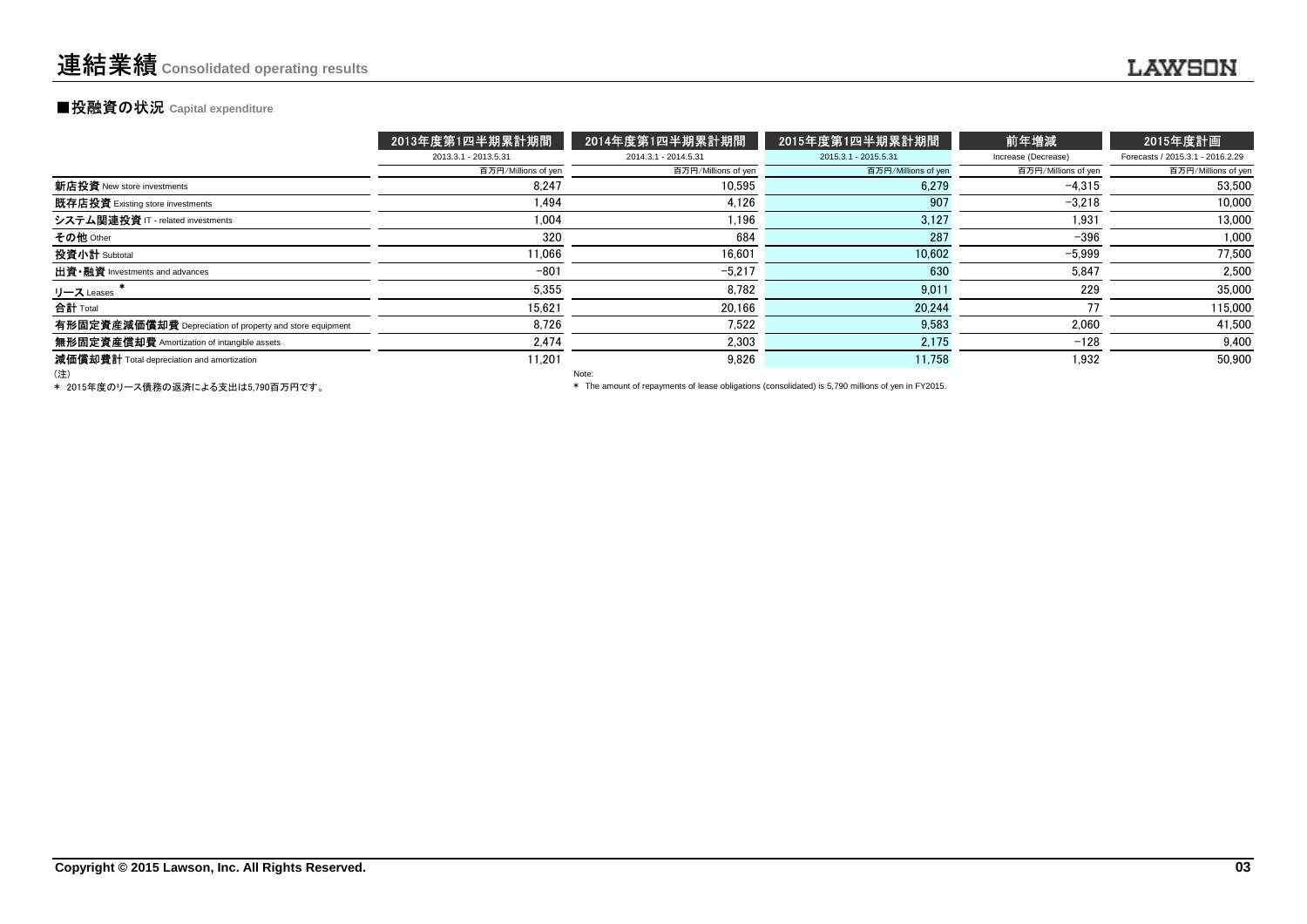#### **■投融資の状況 Capital expenditure**

|                                                          | 2013年度第1四半期累計期間      | 2014年度第1四半期累計期間      | 2015年度第1四半期累計期間      | 前年増減                | 2015年度計画                         |
|----------------------------------------------------------|----------------------|----------------------|----------------------|---------------------|----------------------------------|
|                                                          | 2013.3.1 - 2013.5.31 | 2014.3.1 - 2014.5.31 | 2015.3.1 - 2015.5.31 | Increase (Decrease) | Forecasts / 2015.3.1 - 2016.2.29 |
|                                                          | 百万円/Millions of yen  | 百万円/Millions of yen  | 百万円/Millions of yen  | 百万円/Millions of yen | 百万円/Millions of yen              |
| 新店投資 New store investments                               | 8.247                | 10,595               | 6,279                | $-4,315$            | 53,500                           |
| 既存店投資 Existing store investments                         | 1.494                | 4.126                | 907                  | $-3.218$            | 10.000                           |
| システム関連投資 IT - related investments                        | 1.004                | 1.196                | 3,127                | 1.931               | 13,000                           |
| その他 Other                                                | 320                  | 684                  | 287                  | $-396$              | 1,000                            |
| 投資小計 Subtotal                                            | 11,066               | 16.601               | 10,602               | $-5,999$            | 77,500                           |
| 出資 · 融資 Investments and advances                         | $-801$               | $-5.217$             | 630                  | 5,847               | 2.500                            |
| リース Leases                                               | 5,355                | 8,782                | 9.01                 | 229                 | 35,000                           |
| 合計 Total                                                 | 15.621               | 20.166               | 20.244               |                     | 115,000                          |
| 有形固定資産減価償却費 Depreciation of property and store equipment | 8,726                | 7.522                | 9,583                | 2,060               | 41,500                           |
| 無形固定資産償却費 Amortization of intangible assets              | 2.474                | 2.303                | 2,175                | $-128$              | 9,400                            |
| 減価償却費計 Total depreciation and amortization               | 11.201               | 9.826                | 11,758               | 1.932               | 50,900                           |
| (注)                                                      |                      | Note:                |                      |                     |                                  |

(注)

Note:

\* 2015年度のリース債務の返済による支出は5,790百万円です。

\* The amount of repayments of lease obligations (consolidated) is 5,790 millions of yen in FY2015.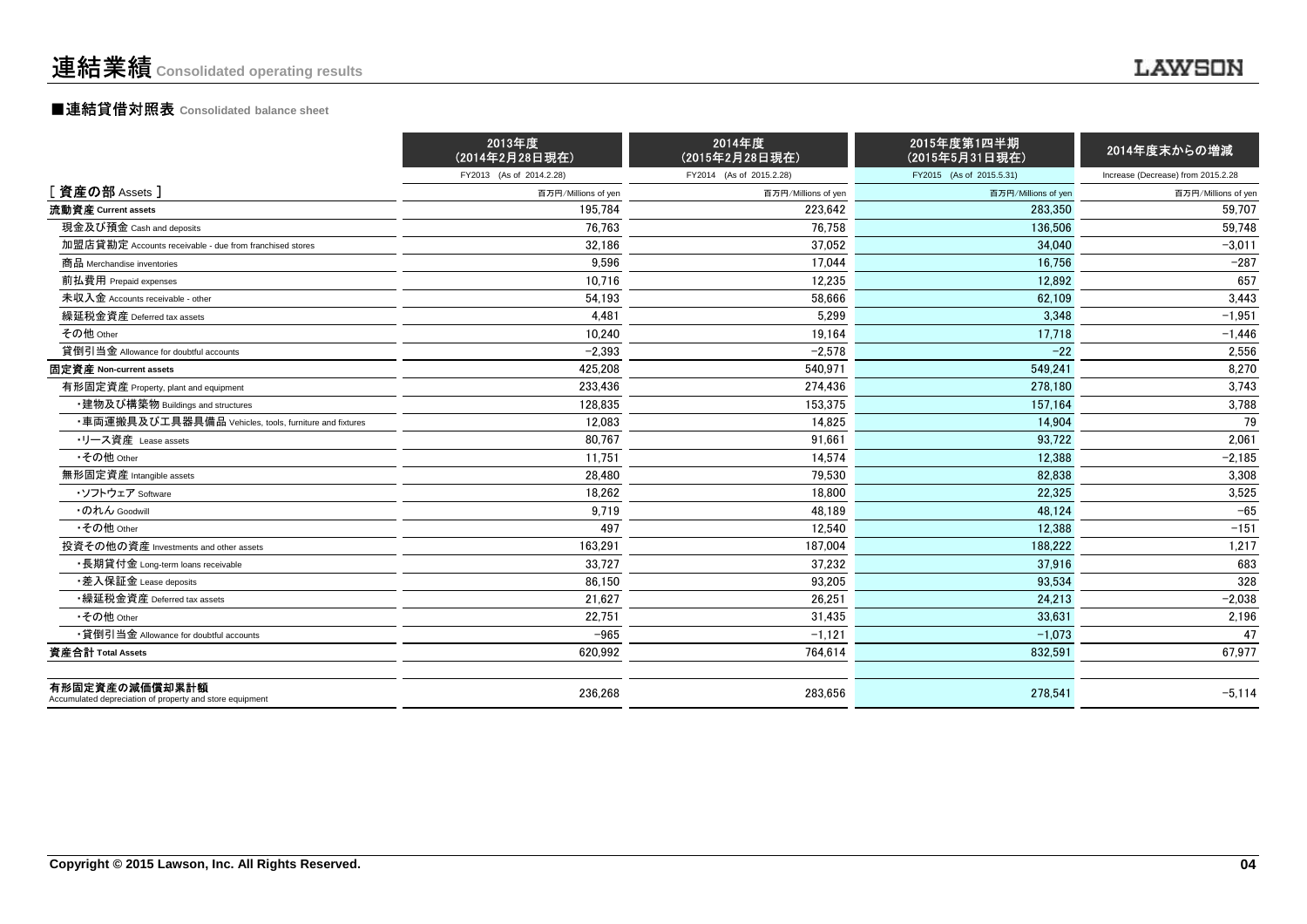#### ■連結貸借対照表 **Consolidated balance sheet**

|                                                                            | 2013年度<br>(2014年2月28日現在) | 2014年度<br>(2015年2月28日現在) | 2015年度第1四半期<br>(2015年5月31日現在) | 2014年度末からの増減                       |
|----------------------------------------------------------------------------|--------------------------|--------------------------|-------------------------------|------------------------------------|
|                                                                            | FY2013 (As of 2014.2.28) | FY2014 (As of 2015.2.28) | FY2015 (As of 2015.5.31)      | Increase (Decrease) from 2015.2.28 |
| [資産の部 Assets]                                                              | 百万円/Millions of yen      | 百万円/Millions of yen      | 百万円/Millions of yen           | 百万円/Millions of yen                |
| 流動資産 Current assets                                                        | 195.784                  | 223.642                  | 283,350                       | 59.707                             |
| 現金及び預金 Cash and deposits                                                   | 76,763                   | 76,758                   | 136,506                       | 59,748                             |
| 加盟店貸勘定 Accounts receivable - due from franchised stores                    | 32,186                   | 37,052                   | 34.040                        | $-3.011$                           |
| 商品 Merchandise inventories                                                 | 9,596                    | 17.044                   | 16.756                        | $-287$                             |
| 前払費用 Prepaid expenses                                                      | 10,716                   | 12,235                   | 12.892                        | 657                                |
| 未収入金 Accounts receivable - other                                           | 54,193                   | 58,666                   | 62,109                        | 3,443                              |
| 繰延税金資産 Deferred tax assets                                                 | 4,481                    | 5,299                    | 3,348                         | $-1,951$                           |
| その他 Other                                                                  | 10,240                   | 19,164                   | 17,718                        | $-1,446$                           |
| 貸倒引当金 Allowance for doubtful accounts                                      | $-2,393$                 | $-2,578$                 | $-22$                         | 2,556                              |
| 固定資産 Non-current assets                                                    | 425,208                  | 540.971                  | 549.241                       | 8,270                              |
| 有形固定資産 Property, plant and equipment                                       | 233.436                  | 274,436                  | 278.180                       | 3,743                              |
| ・建物及び構築物 Buildings and structures                                          | 128,835                  | 153,375                  | 157,164                       | 3,788                              |
| ・車両運搬具及び工具器具備品 Vehicles, tools, furniture and fixtures                     | 12.083                   | 14.825                   | 14.904                        | 79                                 |
| ・リース資産 Lease assets                                                        | 80,767                   | 91.661                   | 93.722                        | 2,061                              |
| •その他 Other                                                                 | 11,751                   | 14,574                   | 12,388                        | $-2,185$                           |
| 無形固定資産 Intangible assets                                                   | 28,480                   | 79,530                   | 82,838                        | 3,308                              |
| ・ソフトウェア Software                                                           | 18.262                   | 18.800                   | 22.325                        | 3,525                              |
| ・のれん Goodwill                                                              | 9,719                    | 48,189                   | 48.124                        | $-65$                              |
| •その他 Other                                                                 | 497                      | 12,540                   | 12,388                        | $-151$                             |
| 投資その他の資産 Investments and other assets                                      | 163,291                  | 187.004                  | 188.222                       | 1,217                              |
| ・長期貸付金 Long-term loans receivable                                          | 33,727                   | 37,232                   | 37,916                        | 683                                |
| •差入保証金 Lease deposits                                                      | 86.150                   | 93,205                   | 93.534                        | 328                                |
| •繰延税金資産 Deferred tax assets                                                | 21,627                   | 26,251                   | 24,213                        | $-2,038$                           |
| •その他 Other                                                                 | 22,751                   | 31,435                   | 33,631                        | 2,196                              |
| •貸倒引当金 Allowance for doubtful accounts                                     | $-965$                   | $-1,121$                 | $-1,073$                      | 47                                 |
| 資産合計 Total Assets                                                          | 620,992                  | 764,614                  | 832,591                       | 67,977                             |
| 有形固定資産の減価償却累計額<br>Accumulated depreciation of property and store equipment | 236,268                  | 283,656                  | 278,541                       | $-5,114$                           |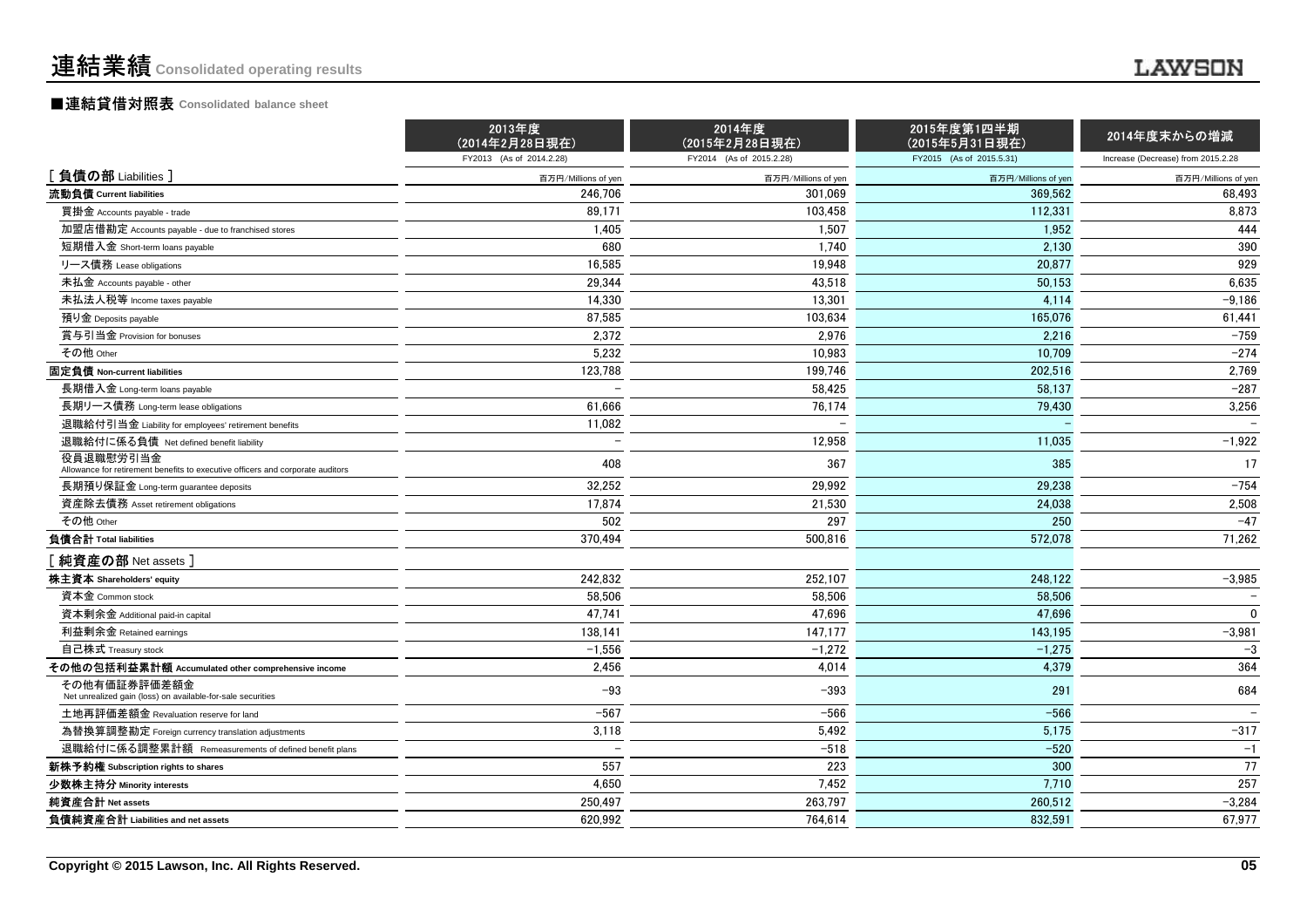#### ■連結貸借対照表 **Consolidated balance sheet**

|                                                                                             | 2013年度<br>(2014年2月28日現在) | 2014年度<br>(2015年2月28日現在) | 2015年度第1四半期<br>(2015年5月31日現在) | 2014年度末からの増減                       |
|---------------------------------------------------------------------------------------------|--------------------------|--------------------------|-------------------------------|------------------------------------|
|                                                                                             | FY2013 (As of 2014.2.28) | FY2014 (As of 2015.2.28) | FY2015 (As of 2015.5.31)      | Increase (Decrease) from 2015.2.28 |
| [負債の部 Liabilities]                                                                          | 百万円/Millions of yen      | 百万円/Millions of yen      | 百万円/Millions of yen           | 百万円/Millions of yen                |
| 流動負債 Current liabilities                                                                    | 246.706                  | 301.069                  | 369.562                       | 68,493                             |
| 買掛金 Accounts payable - trade                                                                | 89,171                   | 103,458                  | 112,331                       | 8,873                              |
| 加盟店借勘定 Accounts payable - due to franchised stores                                          | 1,405                    | 1,507                    | 1.952                         | 444                                |
| 短期借入金 Short-term loans payable                                                              | 680                      | 1,740                    | 2,130                         | 390                                |
| リース債務 Lease obligations                                                                     | 16,585                   | 19,948                   | 20,877                        | 929                                |
| 未払金 Accounts payable - other                                                                | 29,344                   | 43,518                   | 50,153                        | 6,635                              |
| 未払法人税等 Income taxes payable                                                                 | 14,330                   | 13,301                   | 4,114                         | $-9,186$                           |
| 預り金 Deposits payable                                                                        | 87,585                   | 103,634                  | 165,076                       | 61,441                             |
| 賞与引当金 Provision for bonuses                                                                 | 2,372                    | 2,976                    | 2.216                         | $-759$                             |
| その他 Other                                                                                   | 5,232                    | 10,983                   | 10,709                        | $-274$                             |
| 固定負債 Non-current liabilities                                                                | 123,788                  | 199,746                  | 202,516                       | 2,769                              |
| 長期借入金 Long-term loans payable                                                               |                          | 58.425                   | 58.137                        | $-287$                             |
| 長期リース債務 Long-term lease obligations                                                         | 61,666                   | 76,174                   | 79,430                        | 3,256                              |
| 退職給付引当金 Liability for employees' retirement benefits                                        | 11,082                   |                          |                               |                                    |
| 退職給付に係る負債 Net defined benefit liability                                                     | $\overline{\phantom{0}}$ | 12,958                   | 11,035                        | $-1,922$                           |
| 役員退職慰労引当金<br>Allowance for retirement benefits to executive officers and corporate auditors | 408                      | 367                      | 385                           | 17                                 |
| 長期預り保証金 Long-term guarantee deposits                                                        | 32,252                   | 29,992                   | 29,238                        | $-754$                             |
| 資産除去債務 Asset retirement obligations                                                         | 17,874                   | 21,530                   | 24.038                        | 2,508                              |
| その他 Other                                                                                   | 502                      | 297                      | 250                           | $-47$                              |
| 負債合計 Total liabilities                                                                      | 370.494                  | 500.816                  | 572.078                       | 71,262                             |
| [純資産の部 Net assets]                                                                          |                          |                          |                               |                                    |
| 株主資本 Shareholders' equity                                                                   | 242,832                  | 252,107                  | 248,122                       | $-3,985$                           |
| 資本金 Common stock                                                                            | 58.506                   | 58.506                   | 58.506                        | $\overline{\phantom{0}}$           |
| 資本剰余金 Additional paid-in capital                                                            | 47,741                   | 47,696                   | 47.696                        | $\mathbf{0}$                       |
| 利益剰余金 Retained earnings                                                                     | 138,141                  | 147,177                  | 143,195                       | $-3,981$                           |
| 自己株式 Treasury stock                                                                         | $-1,556$                 | $-1,272$                 | $-1,275$                      | $-3$                               |
| その他の包括利益累計額 Accumulated other comprehensive income                                          | 2.456                    | 4,014                    | 4,379                         | 364                                |
| その他有価証券評価差額金<br>Net unrealized gain (loss) on available-for-sale securities                 | $-93$                    | $-393$                   | 291                           | 684                                |
| 土地再評価差額金 Revaluation reserve for land                                                       | $-567$                   | $-566$                   | $-566$                        | $\overline{\phantom{0}}$           |
| 為替換算調整勘定 Foreign currency translation adjustments                                           | 3,118                    | 5,492                    | 5,175                         | $-317$                             |
| 退職給付に係る調整累計額 Remeasurements of defined benefit plans                                        |                          | $-518$                   | $-520$                        | $-1$                               |
| 新株予約権 Subscription rights to shares                                                         | 557                      | 223                      | 300                           | 77                                 |
| 少数株主持分 Minority interests                                                                   | 4.650                    | 7,452                    | 7.710                         | 257                                |
| 純資産合計 Net assets                                                                            | 250.497                  | 263.797                  | 260.512                       | $-3,284$                           |
| 負債純資産合計 Liabilities and net assets                                                          | 620,992                  | 764,614                  | 832,591                       | 67,977                             |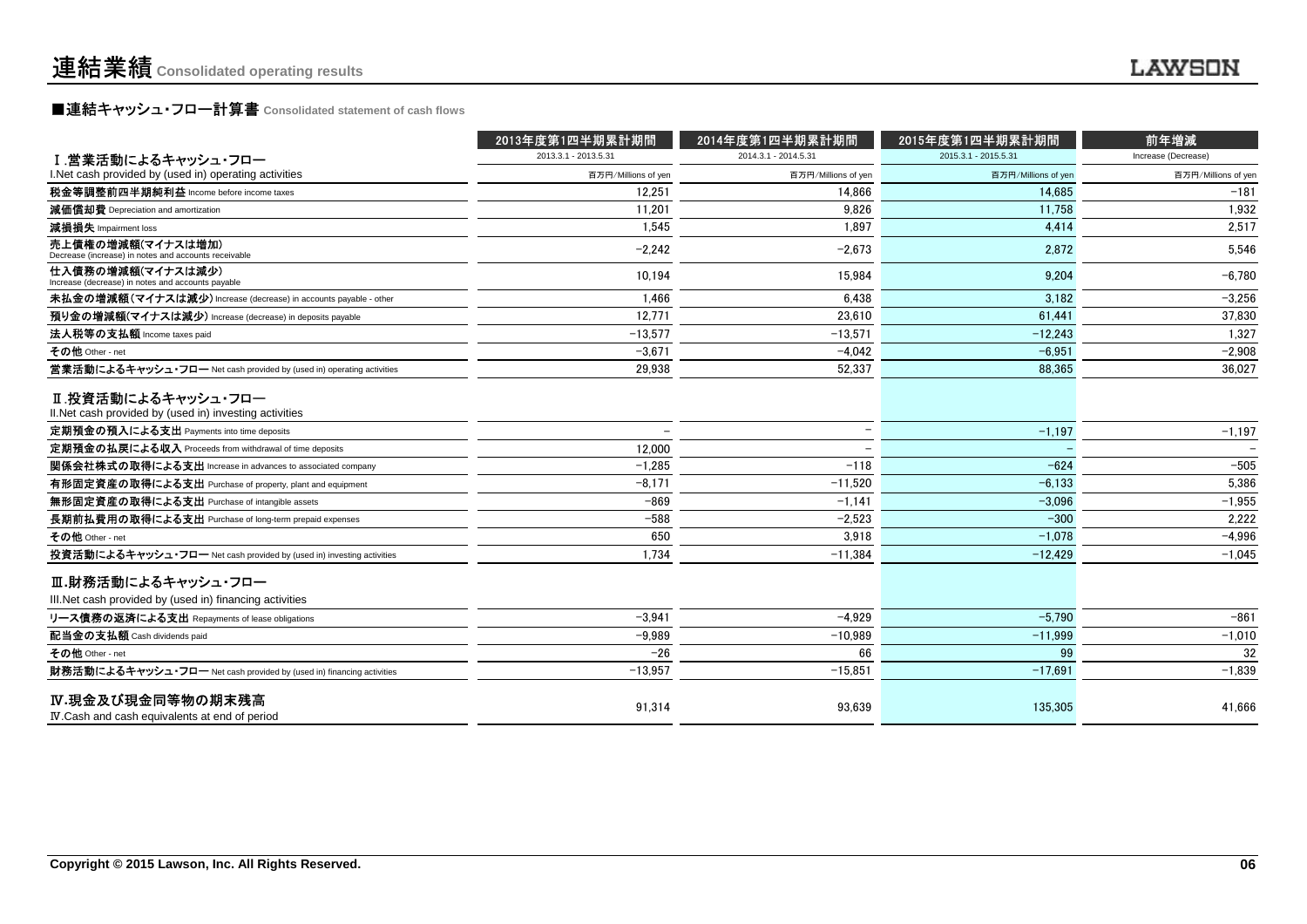## **■連結キャッシュ・フロー計算書** Consolidated statement of cash flows<br>■

|                                                                               | 2013年度第1四半期累計期間      | 2014年度第1四半期累計期間          | 2015年度第1四半期累計期間      | 前年増減                |
|-------------------------------------------------------------------------------|----------------------|--------------------------|----------------------|---------------------|
| I.営業活動によるキャッシュ・フロー                                                            | 2013.3.1 - 2013.5.31 | 2014.3.1 - 2014.5.31     | 2015.3.1 - 2015.5.31 | Increase (Decrease) |
| I. Net cash provided by (used in) operating activities                        | 百万円/Millions of yen  | 百万円/Millions of yen      | 百万円/Millions of yen  | 百万円/Millions of yen |
| 税金等調整前四半期純利益 Income before income taxes                                       | 12.251               | 14.866                   | 14.685               | $-181$              |
| 減価償却費 Depreciation and amortization                                           | 11.201               | 9.826                    | 11.758               | 1,932               |
| 減損損失 Impairment loss                                                          | 1.545                | 1.897                    | 4.414                | 2.517               |
| 売上債権の増減額(マイナスは増加)<br>Decrease (increase) in notes and accounts receivable     | $-2,242$             | $-2,673$                 | 2,872                | 5,546               |
| 仕入債務の増減額(マイナスは減少)<br>Increase (decrease) in notes and accounts payable        | 10,194               | 15.984                   | 9,204                | $-6,780$            |
| 未払金の増減額(マイナスは減少) Increase (decrease) in accounts payable - other              | 1.466                | 6.438                    | 3,182                | $-3,256$            |
| 預り金の増減額(マイナスは減少) Increase (decrease) in deposits payable                      | 12,771               | 23,610                   | 61.441               | 37,830              |
| 法人税等の支払額 Income taxes paid                                                    | $-13,577$            | $-13.571$                | $-12.243$            | 1,327               |
| その他 Other - net                                                               | $-3.671$             | $-4.042$                 | $-6.951$             | $-2.908$            |
| 営業活動によるキャッシュ・フロー Net cash provided by (used in) operating activities          | 29.938               | 52.337                   | 88.365               | 36,027              |
| Ⅱ.投資活動によるキャッシュ・フロー<br>II. Net cash provided by (used in) investing activities |                      |                          |                      |                     |
| 定期預金の預入による支出 Payments into time deposits                                      |                      | $\overline{\phantom{0}}$ | $-1,197$             | $-1,197$            |
| 定期預金の払戻による収入 Proceeds from withdrawal of time deposits                        | 12.000               |                          |                      |                     |
| 関係会社株式の取得による支出 Increase in advances to associated company                     | $-1,285$             | $-118$                   | $-624$               | $-505$              |
| 有形固定資産の取得による支出 Purchase of property, plant and equipment                      | $-8,171$             | $-11.520$                | $-6,133$             | 5,386               |
| 無形固定資産の取得による支出 Purchase of intangible assets                                  | $-869$               | $-1,141$                 | $-3,096$             | $-1,955$            |
| 長期前払費用の取得による支出 Purchase of long-term prepaid expenses                         | $-588$               | $-2,523$                 | $-300$               | 2,222               |
| その他 Other - net                                                               | 650                  | 3.918                    | $-1.078$             | $-4.996$            |
| 投資活動によるキャッシュ・フロー Net cash provided by (used in) investing activities          | 1,734                | $-11,384$                | $-12,429$            | $-1,045$            |
| Ⅲ.財務活動によるキャッシュ・フロー                                                            |                      |                          |                      |                     |
| III. Net cash provided by (used in) financing activities                      |                      |                          |                      |                     |
| リース債務の返済による支出 Repayments of lease obligations                                 | $-3.941$             | $-4.929$                 | $-5.790$             | $-861$              |
| 配当金の支払額 Cash dividends paid                                                   | $-9.989$             | $-10.989$                | $-11.999$            | $-1,010$            |
| その他 Other - net                                                               | $-26$                | 66                       | 99                   | 32                  |
| 財務活動によるキャッシュ・フロー Net cash provided by (used in) financing activities          | $-13.957$            | $-15.851$                | $-17.691$            | $-1,839$            |
| IV.現金及び現金同等物の期末残高<br>IV. Cash and cash equivalents at end of period           | 91,314               | 93,639                   | 135,305              | 41,666              |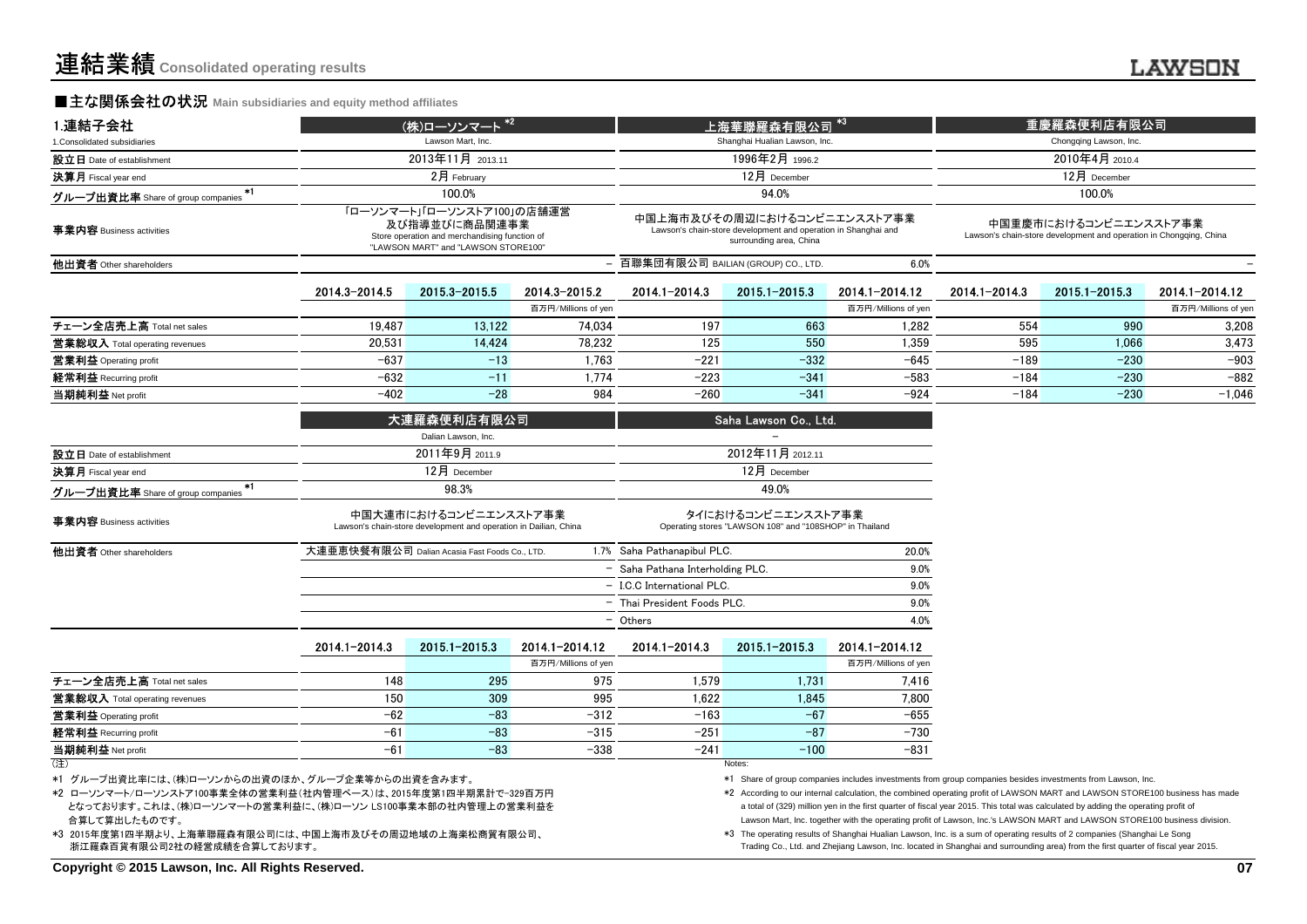#### **■主な関係会社の状況** Main subsidiaries and equity method affiliates

| 1.連結子会社                                 |               | (株)ローソンマート <sup>*2</sup>                                                                                                            |                     |                                      | 上海華聯羅森有限公司                                                                                                               | $*3$                |                        | 重慶羅森便利店有限公司                                                                                 |                     |  |
|-----------------------------------------|---------------|-------------------------------------------------------------------------------------------------------------------------------------|---------------------|--------------------------------------|--------------------------------------------------------------------------------------------------------------------------|---------------------|------------------------|---------------------------------------------------------------------------------------------|---------------------|--|
| 1. Consolidated subsidiaries            |               | Lawson Mart, Inc.                                                                                                                   |                     |                                      | Shanghai Hualian Lawson, Inc.                                                                                            |                     | Chongqing Lawson, Inc. |                                                                                             |                     |  |
| 設立日 Date of establishment               |               | 2013年11月 2013.11                                                                                                                    |                     | 1996年2月 1996.2                       |                                                                                                                          |                     |                        | 2010年4月 2010.4                                                                              |                     |  |
| 決算月 Fiscal year end                     |               | 2月 February                                                                                                                         |                     |                                      | 12月 December                                                                                                             |                     | 12月 December           |                                                                                             |                     |  |
| $*1$                                    |               | 100.0%                                                                                                                              |                     |                                      | 94.0%                                                                                                                    |                     |                        | 100.0%                                                                                      |                     |  |
| グループ出資比率 Share of group companies       |               |                                                                                                                                     |                     |                                      |                                                                                                                          |                     |                        |                                                                                             |                     |  |
| 事業内容 Business activities                |               | 「ローソンマート」「ローソンストア100」の店舗運営<br>及び指導並びに商品関連事業<br>Store operation and merchandising function of<br>"LAWSON MART" and "LAWSON STORE100" |                     |                                      | 中国上海市及びその周辺におけるコンビニエンスストア事業<br>Lawson's chain-store development and operation in Shanghai and<br>surrounding area, China |                     |                        | 中国重慶市におけるコンビニエンスストア事業<br>Lawson's chain-store development and operation in Chongqing, China |                     |  |
| 他出資者 Other shareholders                 |               |                                                                                                                                     |                     | - 百聯集団有限公司 BAILIAN (GROUP) CO., LTD. |                                                                                                                          | 6.0%                |                        |                                                                                             |                     |  |
|                                         | 2014.3-2014.5 | 2015.3-2015.5                                                                                                                       | 2014.3-2015.2       | 2014.1-2014.3                        | 2015.1-2015.3                                                                                                            | 2014.1-2014.12      | 2014.1-2014.3          | 2015.1-2015.3                                                                               | 2014.1-2014.12      |  |
|                                         |               |                                                                                                                                     | 百万円/Millions of yen |                                      |                                                                                                                          | 百万円/Millions of yen |                        |                                                                                             | 百万円/Millions of yen |  |
| チェーン全店売上高 Total net sales               | 19,487        | 13,122                                                                                                                              | 74,034              | 197                                  | 663                                                                                                                      | 1,282               | 554                    | 990                                                                                         | 3,208               |  |
| 営業総収入 Total operating revenues          | 20,531        | 14,424                                                                                                                              | 78,232              | 125                                  | 550                                                                                                                      | 1,359               | 595                    | 1,066                                                                                       | 3,473               |  |
| 営業利益 Operating profit                   | $-637$        | $-13$                                                                                                                               | 1,763               | $-221$                               | $-332$                                                                                                                   | $-645$              | $-189$                 | $-230$                                                                                      | $-903$              |  |
| 経常利益 Recurring profit                   | $-632$        | $-11$                                                                                                                               | 1,774               | $-223$                               | $-341$                                                                                                                   | $-583$              | $-184$                 | $-230$                                                                                      | $-882$              |  |
| 当期純利益 Net profit                        | $-402$        | $-28$                                                                                                                               | 984                 | $-260$                               | $-341$                                                                                                                   | $-924$              | $-184$                 | $-230$                                                                                      | $-1,046$            |  |
|                                         |               | 大連羅森便利店有限公司                                                                                                                         |                     | Saha Lawson Co., Ltd.                |                                                                                                                          |                     |                        |                                                                                             |                     |  |
|                                         |               | Dalian Lawson, Inc.                                                                                                                 |                     |                                      |                                                                                                                          |                     |                        |                                                                                             |                     |  |
| 設立日 Date of establishment               |               | 2011年9月 2011.9                                                                                                                      |                     |                                      | 2012年11月 2012.11                                                                                                         |                     |                        |                                                                                             |                     |  |
| 決算月 Fiscal year end                     |               | 12月 December                                                                                                                        |                     | 12月 December                         |                                                                                                                          |                     |                        |                                                                                             |                     |  |
| *1<br>グループ出資比率 Share of group companies |               | 98.3%                                                                                                                               |                     | 49.0%                                |                                                                                                                          |                     |                        |                                                                                             |                     |  |
| 事業内容 Business activities                |               | 中国大連市におけるコンビニエンスストア事業<br>Lawson's chain-store development and operation in Dailian, China                                           |                     |                                      | タイにおけるコンビニエンスストア事業<br>Operating stores "LAWSON 108" and "108SHOP" in Thailand                                            |                     |                        |                                                                                             |                     |  |
| 他出資者 Other shareholders                 |               | 大連亜恵快餐有限公司 Dalian Acasia Fast Foods Co., LTD.                                                                                       |                     | 1.7% Saha Pathanapibul PLC.          |                                                                                                                          | 20.0%               |                        |                                                                                             |                     |  |
|                                         |               |                                                                                                                                     |                     | - Saha Pathana Interholding PLC.     |                                                                                                                          | 9.0%                |                        |                                                                                             |                     |  |
|                                         |               |                                                                                                                                     |                     | - I.C.C International PLC.<br>9.0%   |                                                                                                                          |                     |                        |                                                                                             |                     |  |
|                                         |               |                                                                                                                                     |                     | - Thai President Foods PLC.          |                                                                                                                          | 9.0%                |                        |                                                                                             |                     |  |
|                                         |               |                                                                                                                                     |                     | - Others                             |                                                                                                                          | 4.0%                |                        |                                                                                             |                     |  |
|                                         | 2014.1-2014.3 | 2015 1-2015 3                                                                                                                       | 2014.1-2014.12      | 2014.1-2014.3                        | 2015.1-2015.3                                                                                                            | 2014.1-2014.12      |                        |                                                                                             |                     |  |
|                                         |               |                                                                                                                                     | 百万円/Millions of yen |                                      |                                                                                                                          | 百万円/Millions of yen |                        |                                                                                             |                     |  |
| チェーン全店売上高 Total net sales               | 148           | 295                                                                                                                                 | 975                 | 1,579                                | 1,731                                                                                                                    | 7,416               |                        |                                                                                             |                     |  |
| 営業総収入 Total operating revenues          | 150           | 309                                                                                                                                 | 995                 | 1,622                                | 1,845                                                                                                                    | 7,800               |                        |                                                                                             |                     |  |
| 営業利益 Operating profit                   | $-62$         | $-83$                                                                                                                               | $-312$              | $-163$                               | $-67$                                                                                                                    | $-655$              |                        |                                                                                             |                     |  |
| 経常利益 Recurring profit                   | $-61$         | $-83$                                                                                                                               | $-315$              | $-251$                               | $-87$                                                                                                                    | $-730$              |                        |                                                                                             |                     |  |
| 当期純利益 Net profit                        | $-61$         | $-83$                                                                                                                               | $-338$              | $-241$                               | $-100$                                                                                                                   | $-831$              |                        |                                                                                             |                     |  |
| (注)                                     |               |                                                                                                                                     |                     |                                      | Notes:                                                                                                                   |                     |                        |                                                                                             |                     |  |

(注)) and the contract of the contract of the contract of the contract of the contract of the contract of the contract of the contract of the contract of the contract of the contract of the contract of the contract of the cont

\*1 グループ出資比率には、(株)ローソンからの出資のほか、グループ企業等からの出資を含みます。

- 合算して算出したものです。となっております。これは、(株)ローソンマートの営業利益に、(株)ローソン LS100事業本部の社内管理上の営業利益を \*2 ローソンマート/ローソンストア100事業全体の営業利益(社内管理ベース)は、2015年度第1四半期累計で-329百万円
- \*3 2015年度第1四半期より、上海華聯羅森有限公司には、中国上海市及びその周辺地域の上海楽松商貿有限公司、浙江羅森百貨有限公司2社の経営成績を合算しております。

\*1 Share of group companies includes investments from group companies besides investments from Lawson, Inc.

Lawson Mart, Inc. together with the operating profit of Lawson, Inc.'s LAWSON MART and LAWSON STORE100 business division.\*2 According to our internal calculation, the combined operating profit of LAWSON MART and LAWSON STORE100 business has madea total of (329) million yen in the first quarter of fiscal year 2015. This total was calculated by adding the operating profit of

\*3 The operating results of Shanghai Hualian Lawson, Inc. is a sum of operating results of 2 companies (Shanghai Le SongTrading Co., Ltd. and Zhejiang Lawson, Inc. located in Shanghai and surrounding area) from the first quarter of fiscal year 2015.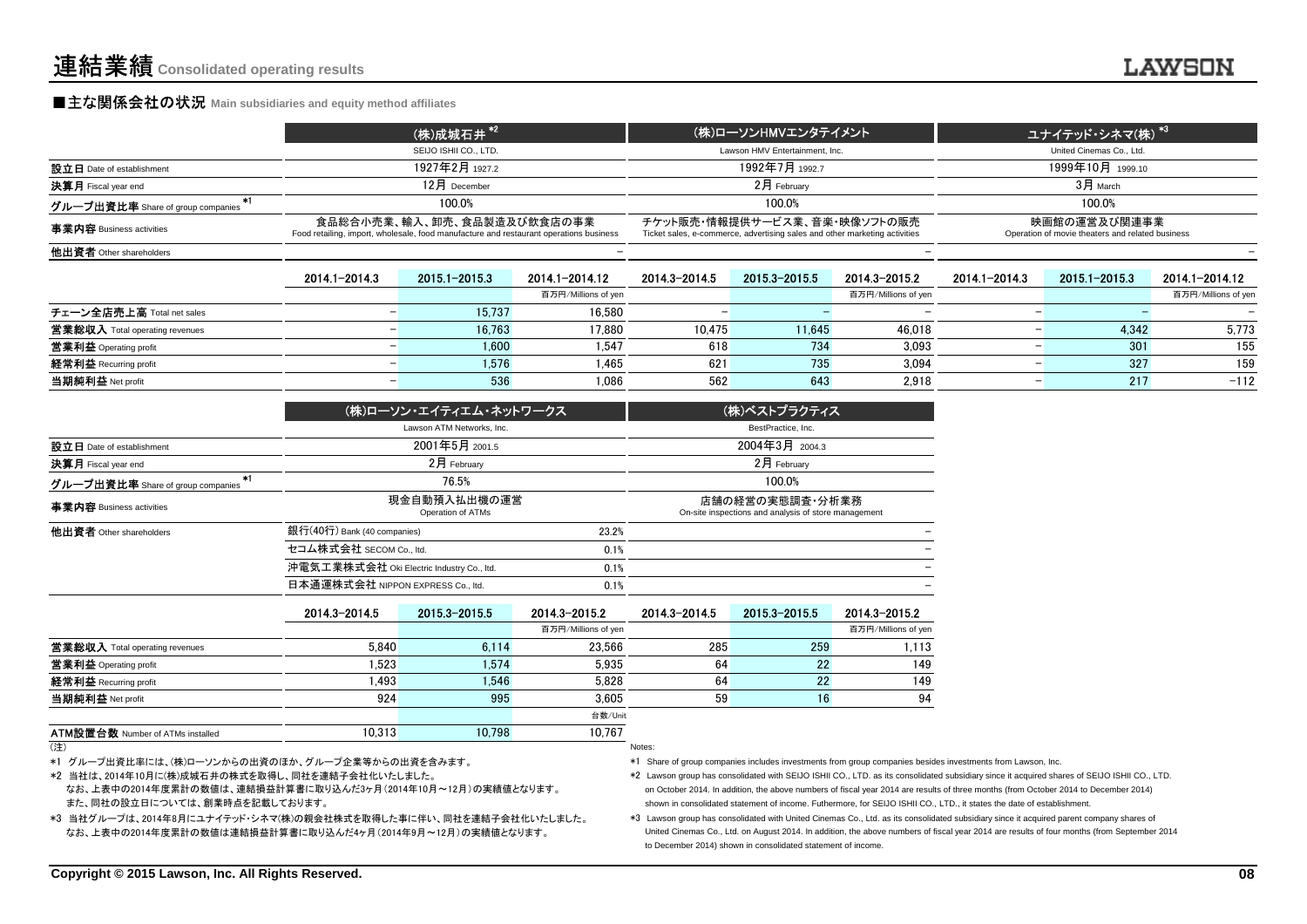#### **■主な関係会社の状況** Main subsidiaries and equity method affiliates

|                                                         | (株)成城石井 <sup>*2</sup>                                                                                                | (株)ローソンHMVエンタテイメント                                                                                         | ユナイテッド・シネマ(株) <sup>*3</sup>                                      |
|---------------------------------------------------------|----------------------------------------------------------------------------------------------------------------------|------------------------------------------------------------------------------------------------------------|------------------------------------------------------------------|
|                                                         | SEIJO ISHII CO., LTD.                                                                                                | Lawson HMV Entertainment, Inc.                                                                             | United Cinemas Co., Ltd.                                         |
| 設立日 Date of establishment                               | 1927年2月 1927.2                                                                                                       | 1992年7月 1992.7                                                                                             | 1999年10月 1999.10                                                 |
| 決算月 Fiscal year end                                     | $12$ 月 December                                                                                                      | $2$ 月 February                                                                                             | $3H$ March                                                       |
| グループ出資比率 Share of group companies $\tilde{\phantom{a}}$ | 100.0%                                                                                                               | 100.0%                                                                                                     | 100.0%                                                           |
| 事業内容 Business activities                                | 食品総合小売業、輸入、卸売、食品製造及び飲食店の事業<br>Food retailing, import, wholesale, food manufacture and restaurant operations business | チケット販売・情報提供サービス業、音楽・映像ソフトの販売<br>Ticket sales, e-commerce, advertising sales and other marketing activities | 映画館の運営及び関連事業<br>Operation of movie theaters and related business |
| 他出資者 Other shareholders                                 |                                                                                                                      |                                                                                                            |                                                                  |
|                                                         |                                                                                                                      |                                                                                                            |                                                                  |

|                                       | 2014.1-2014.3 | 2015.1-2015.3 | 2014.1-2014.12      | 2014.3-2014.5 | 2015.3-2015.5 | 2014.3-2015.2            | 2014.1-2014.3 | 2015.1-2015.3 | 2014.1-2014.12      |
|---------------------------------------|---------------|---------------|---------------------|---------------|---------------|--------------------------|---------------|---------------|---------------------|
|                                       |               |               | 百万円/Millions of yen |               |               | 百万円/Millions of yen      |               |               | 百万円/Millions of yen |
| チェーン全店売上高 Total net sales             |               | 15.737        | 16,580              |               |               | $\overline{\phantom{0}}$ |               |               |                     |
| <b>営業総収入</b> Total operating revenues |               | 16,763        | 17,880              | 10.475        | 11,645        | 46,018                   |               | 4.342         | 5,773               |
| 営業利益 Operating profit                 |               | 1.600         | 1.547               | 618           | 734           | 3.093                    |               | 301           | 155                 |
| 経常利益 Recurring profit                 |               | 1.576         | 1.465               | 621           | 735           | 3.094                    |               | 327           | 159                 |
| 当期純利益 Net profit                      |               | 536           | 1.086               | 562           | 643           | 2.918                    |               | 217           | $-112$              |

|                                         | (株)ローソン・エイティエム・ネットワークス                    |       | (株)ベストプラクティス                                                            |
|-----------------------------------------|-------------------------------------------|-------|-------------------------------------------------------------------------|
|                                         | Lawson ATM Networks, Inc.                 |       | BestPractice, Inc.                                                      |
| 設立日 Date of establishment               | 2001年5月 2001.5                            |       | 2004年3月 2004.3                                                          |
| 決算月 Fiscal year end                     | $2月$ February                             |       | $2月$ February                                                           |
| *1<br>グループ出資比率 Share of group companies | 76.5%                                     |       | 100.0%                                                                  |
| 事業内容 Business activities                | 現金自動預入払出機の運営<br>Operation of ATMs         |       | 店舗の経営の実態調査・分析業務<br>On-site inspections and analysis of store management |
| 他出資者 Other shareholders                 | 銀行(40行) Bank (40 companies)               | 23.2% |                                                                         |
|                                         | セコム株式会社 SECOM Co., ltd.                   | 0.1%  |                                                                         |
|                                         | 沖電気工業株式会社 Oki Electric Industry Co., Itd. | 0.1%  |                                                                         |
|                                         | 日本通運株式会社 NIPPON EXPRESS Co., ltd.         | 0.1%  |                                                                         |

|                                         | 2014 3-2014 5 | 2015 3 - 2015 5 | 2014.3-2015.2       | 2014.3-2014.5 | 2015.3-2015.5 | 2014.3-2015.2       |
|-----------------------------------------|---------------|-----------------|---------------------|---------------|---------------|---------------------|
|                                         |               |                 | 百万円/Millions of yen |               |               | 百万円/Millions of yen |
| <b>営業総収入</b> Total operating revenues   | 5.840         | 6.114           | 23.566              | 285           | 259           | 1,113               |
| 営業利益 Operating profit                   | 1.523         | 1,574           | 5,935               | 64            | 22            | 149                 |
| 経常利益 Recurring profit                   | 1.493         | 1.546           | 5.828               | 64            | 22            | 149                 |
| 当期純利益 Net profit                        | 924           | 995             | 3,605               | 59            | 16            |                     |
|                                         |               |                 | 台数/Unit             |               |               |                     |
| <b>ATM設置台数 Number of ATMs installed</b> | 10,313        | 10,798          | 10,767              |               |               |                     |
| (3)                                     |               |                 |                     | Notes:        |               |                     |

<sup>(</sup>注)) and the contract of the contract of the contract of the contract of the contract of the contract of the contract of the contract of the contract of the contract of the contract of the contract of the contract of the cont

\*1 グループ出資比率には、(株)ローソンからの出資のほか、グループ企業等からの出資を含みます。

\*2 当社は、2014年10月に(株)成城石井の株式を取得し、同社を連結子会社化いたしました。

 なお、上表中の2014年度累計の数値は、連結損益計算書に取り込んだ3ヶ月(2014年10月~12月)の実績値となります。また、同社の設立日については、創業時点を記載しております。

\*3 当社グループは、2014年8月にユナイテッド・シネマ(株)の親会社株式を取得した事に伴い、同社を連結子会社化いたしました。 なお、上表中の2014年度累計の数値は連結損益計算書に取り込んだ4ヶ月(2014年9月~12月)の実績値となります。

\*1 Share of group companies includes investments from group companies besides investments from Lawson, Inc.

\*2 Lawson group has consolidated with SEIJO ISHII CO., LTD. as its consolidated subsidiary since it acquired shares of SEIJO ISHII CO., LTD.on October 2014. In addition, the above numbers of fiscal year 2014 are results of three months (from October 2014 to December 2014)shown in consolidated statement of income. Futhermore, for SEIJO ISHII CO., LTD., it states the date of establishment.

 \*3 Lawson group has consolidated with United Cinemas Co., Ltd. as its consolidated subsidiary since it acquired parent company shares of United Cinemas Co., Ltd. on August 2014. In addition, the above numbers of fiscal year 2014 are results of four months (from September 2014 to December 2014) shown in consolidated statement of income.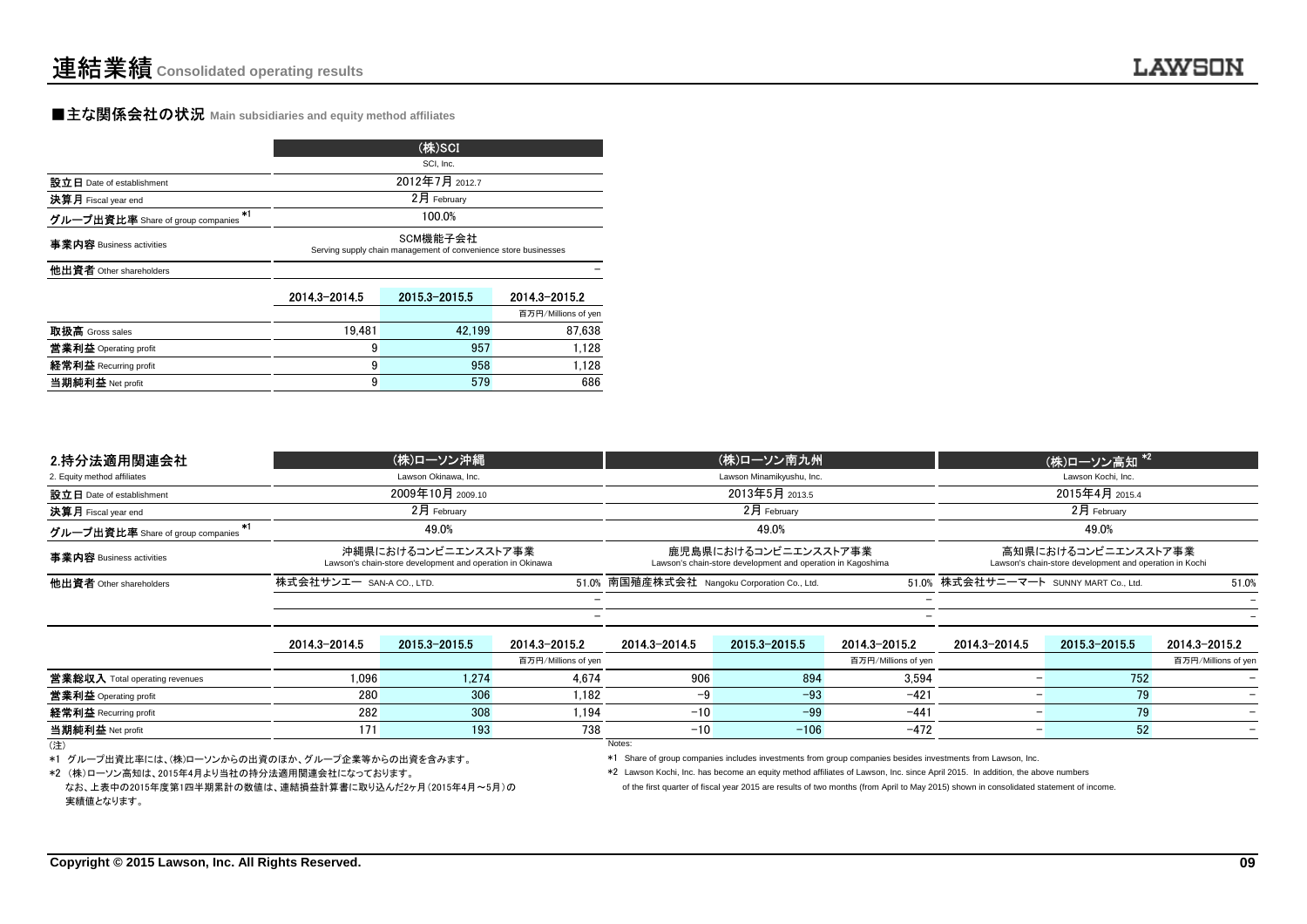#### **■主な関係会社の状況 Main subsidiaries and equity method affiliates**

|                                   | (株)SCI                                                                      |                 |                     |  |  |  |  |  |
|-----------------------------------|-----------------------------------------------------------------------------|-----------------|---------------------|--|--|--|--|--|
|                                   |                                                                             | SCI. Inc.       |                     |  |  |  |  |  |
| 設立日 Date of establishment         |                                                                             | 2012年7月 2012.7  |                     |  |  |  |  |  |
| 決算月 Fiscal year end               |                                                                             | 2月 February     |                     |  |  |  |  |  |
| グループ出資比率 Share of group companies | 100.0%                                                                      |                 |                     |  |  |  |  |  |
| 事業内容 Business activities          | SCM機能子会社<br>Serving supply chain management of convenience store businesses |                 |                     |  |  |  |  |  |
| 他出資者 Other shareholders           |                                                                             |                 |                     |  |  |  |  |  |
|                                   | 2014.3-2014.5                                                               | 2015 3 - 2015 5 | 2014.3-2015.2       |  |  |  |  |  |
|                                   |                                                                             |                 | 百万円/Millions of yen |  |  |  |  |  |
| ---                               | $\cdots$                                                                    |                 |                     |  |  |  |  |  |

| 取扱高 Gross sales              | 19.481 | 42.199 | 87.638 |
|------------------------------|--------|--------|--------|
| <b>営業利益</b> Operating profit | У      | 957    | l.128  |
| 経常利益 Recurring profit        | У      | 958    | 1.128  |
| 当期純利益 Net profit             | У      | 579    | 686    |
|                              |        |        |        |

| 2.持分法適用関連会社                       | (株)ローソン沖縄                                                                        |                          |                                                                                     |                          | (株)ローソン高知 <sup>*2</sup>                                                        |       |
|-----------------------------------|----------------------------------------------------------------------------------|--------------------------|-------------------------------------------------------------------------------------|--------------------------|--------------------------------------------------------------------------------|-------|
| 2. Equity method affiliates       | Lawson Okinawa, Inc.                                                             |                          | Lawson Minamikyushu, Inc.                                                           | Lawson Kochi, Inc.       |                                                                                |       |
| 設立日 Date of establishment         | 2009年10月 2009.10                                                                 |                          | 2013年5月 2013.5                                                                      | 2015年4月 2015.4           |                                                                                |       |
| <b>決算月</b> Fiscal year end        | 2月 February                                                                      |                          | $2月$ February                                                                       | $2月$ February            |                                                                                |       |
| グループ出資比率 Share of group companies | 49.0%                                                                            |                          | 49.0%                                                                               |                          | 49.0%                                                                          |       |
| 事業内容 Business activities          | 沖縄県におけるコンビニエンスストア事業<br>Lawson's chain-store development and operation in Okinawa |                          | 鹿児島県におけるコンビニエンスストア事業<br>Lawson's chain-store development and operation in Kagoshima |                          | 高知県におけるコンビニエンスストア事業<br>Lawson's chain-store development and operation in Kochi |       |
| 他出資者 Other shareholders           | 株式会社サンエー san-a co., LTD.                                                         |                          | 51.0% 南国殖産株式会社 Nangoku Corporation Co., Ltd.                                        |                          | 51.0% 株式会社サニーマート SUNNY MART Co., Ltd.                                          | 51.0% |
|                                   |                                                                                  |                          |                                                                                     | $\qquad \qquad$          |                                                                                |       |
|                                   |                                                                                  | $\overline{\phantom{0}}$ |                                                                                     | $\overline{\phantom{0}}$ |                                                                                |       |

| 他出資者 Other shareholders                          | 株式会社サンエー SAN-A CO.,LTD. |               |                     | 51.0% 南国殖産株式会社 Nangoku Corporation Co., Ltd. |                                                                                                                               |                     | 51.0% 株式会社サニーマート SUNNY MART Co. Ltd.<br>51.0% |               |                     |
|--------------------------------------------------|-------------------------|---------------|---------------------|----------------------------------------------|-------------------------------------------------------------------------------------------------------------------------------|---------------------|-----------------------------------------------|---------------|---------------------|
|                                                  |                         |               |                     |                                              |                                                                                                                               |                     |                                               |               |                     |
|                                                  |                         |               |                     |                                              |                                                                                                                               |                     |                                               |               |                     |
|                                                  | 2014.3-2014.5           | 2015.3-2015.5 | 2014.3-2015.2       | 2014.3-2014.5                                | 2015.3-2015.5                                                                                                                 | 2014.3-2015.2       | 2014.3-2014.5                                 | 2015.3-2015.5 | 2014.3-2015.2       |
|                                                  |                         |               | 百万円/Millions of ven |                                              |                                                                                                                               | 百万円/Millions of yen |                                               |               | 百万円/Millions of yen |
| <b>営業総収入</b> Total operating revenues            | 1.096                   | 1.274         | 4.674               | 906                                          | 894                                                                                                                           | 3.594               |                                               | 752           |                     |
| 営業利益 Operating profit                            | 280                     | 306           | 1.182               | -9                                           | $-93$                                                                                                                         | $-421$              |                                               |               |                     |
| 経常利益 Recurring profit                            | 282                     | 308           | 1.194               | $-10$                                        | $-99$                                                                                                                         | -441                |                                               | 79            |                     |
| 当期純利益 Net profit                                 | 171                     | 193           | 738                 | $-10$                                        | $-106$                                                                                                                        | $-472$              |                                               | 52            |                     |
| (注)                                              |                         |               |                     | Notes:                                       |                                                                                                                               |                     |                                               |               |                     |
| *1 グループ出資比率には、(株)ローソンからの出資のほか、グループ企業等からの出資を含みます。 |                         |               |                     |                                              | *1 Share of group companies includes investments from group companies besides investments from Lawson, Inc.                   |                     |                                               |               |                     |
| *2 (株)ローソン高知は、2015年4月より当社の持分法適用関連会社になっております。     |                         |               |                     |                                              | *2 Lawson Kochi, Inc. has become an equity method affiliates of Lawson, Inc. since April 2015. In addition, the above numbers |                     |                                               |               |                     |

(注)

なお、上表中の2015年度第1四半期累計の数値は、連結損益計算書に取り込んだ2ヶ月(2015年4月~5月)の実績値となります。

of the first quarter of fiscal year 2015 are results of two months (from April to May 2015) shown in consolidated statement of income.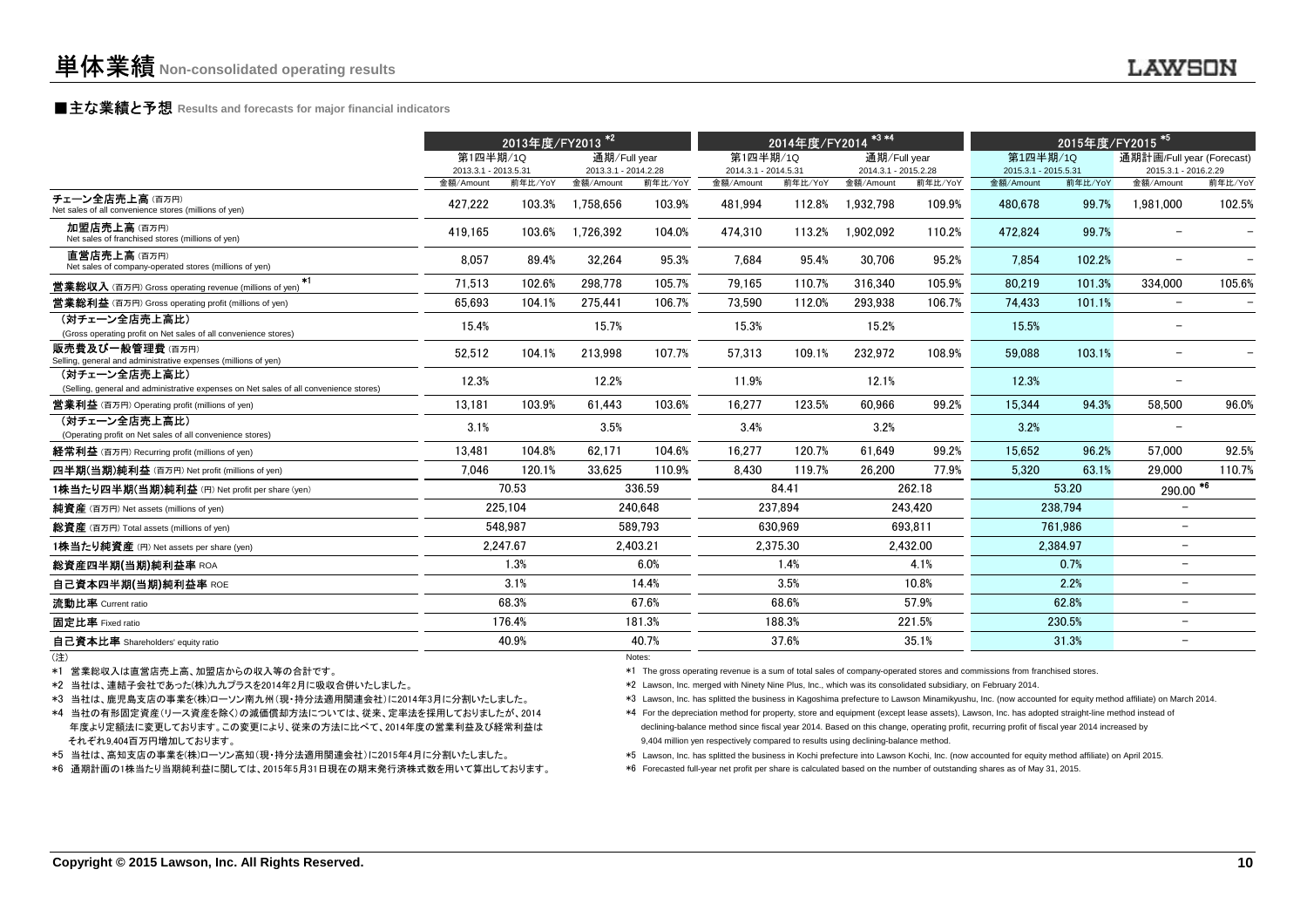## **■主な業績と予想** Results and forecasts for major financial indicators<br>
————————————————————

|                                                                                                                                                                                                                                                                                                    | 2013年度/FY2013 <sup>*2</sup>      |                                                                                                                                                  |                                      | 2014年度/FY2014 <sup>*3*4</sup> |                                                                                                                                                                                                    |          |                                      | 2015年度/FY2015 <sup>*51</sup> |                                                                                                                                                                                                                                                                                                                                                                                                                                                                                                                                                                                          |          |                                                   |         |
|----------------------------------------------------------------------------------------------------------------------------------------------------------------------------------------------------------------------------------------------------------------------------------------------------|----------------------------------|--------------------------------------------------------------------------------------------------------------------------------------------------|--------------------------------------|-------------------------------|----------------------------------------------------------------------------------------------------------------------------------------------------------------------------------------------------|----------|--------------------------------------|------------------------------|------------------------------------------------------------------------------------------------------------------------------------------------------------------------------------------------------------------------------------------------------------------------------------------------------------------------------------------------------------------------------------------------------------------------------------------------------------------------------------------------------------------------------------------------------------------------------------------|----------|---------------------------------------------------|---------|
|                                                                                                                                                                                                                                                                                                    | 第1四半期/1Q<br>2013.3.1 - 2013.5.31 |                                                                                                                                                  | 通期/Full year<br>2013.3.1 - 2014.2.28 |                               | 第1四半期/1Q<br>2014.3.1 - 2014.5.31                                                                                                                                                                   |          | 通期/Full year<br>2014.3.1 - 2015.2.28 |                              | 第1四半期/1Q<br>2015.3.1 - 2015.5.31                                                                                                                                                                                                                                                                                                                                                                                                                                                                                                                                                         |          | 通期計画/Full year (Forecast)<br>2015.3.1 - 2016.2.29 |         |
|                                                                                                                                                                                                                                                                                                    | 金額/Amount                        | 前年比/YoY                                                                                                                                          | 金額/Amount                            | 前年比/YoY                       | 金額/Amount                                                                                                                                                                                          | 前年比/YoY  | 金額/Amount                            | 前年比/YoY                      | 金額/Amount                                                                                                                                                                                                                                                                                                                                                                                                                                                                                                                                                                                | 前年比/YoY  | 金額/Amount                                         | 前年比/YoY |
| チェーン全店売上高(百万円)<br>Net sales of all convenience stores (millions of yen)                                                                                                                                                                                                                            | 427.222                          | 103.3%                                                                                                                                           | 1.758.656                            | 103.9%                        | 481,994                                                                                                                                                                                            | 112.8%   | 1.932.798                            | 109.9%                       | 480.678                                                                                                                                                                                                                                                                                                                                                                                                                                                                                                                                                                                  | 99.7%    | 1.981.000                                         | 102.5%  |
| 加盟店売上高(百万円)<br>Net sales of franchised stores (millions of yen)                                                                                                                                                                                                                                    | 419.165                          | 103.6%                                                                                                                                           | 1.726.392                            | 104.0%                        | 474.310                                                                                                                                                                                            | 113.2%   | 1.902.092                            | 110.2%                       | 472.824                                                                                                                                                                                                                                                                                                                                                                                                                                                                                                                                                                                  | 99.7%    |                                                   |         |
| 直営店売上高(百万円)<br>Net sales of company-operated stores (millions of yen)                                                                                                                                                                                                                              | 8,057                            | 89.4%                                                                                                                                            | 32,264                               | 95.3%                         | 7,684                                                                                                                                                                                              | 95.4%    | 30,706                               | 95.2%                        | 7,854                                                                                                                                                                                                                                                                                                                                                                                                                                                                                                                                                                                    | 102.2%   | $\overline{\phantom{0}}$                          |         |
| $*1$<br><b>営業総収入</b> (百万円) Gross operating revenue (millions of yen)                                                                                                                                                                                                                               | 71,513                           | 102.6%                                                                                                                                           | 298.778                              | 105.7%                        | 79.165                                                                                                                                                                                             | 110.7%   | 316.340                              | 105.9%                       | 80,219                                                                                                                                                                                                                                                                                                                                                                                                                                                                                                                                                                                   | 101.3%   | 334,000                                           | 105.6%  |
| <b>営業総利益</b> (百万円) Gross operating profit (millions of yen)                                                                                                                                                                                                                                        | 65.693                           | 104.1%                                                                                                                                           | 275.441                              | 106.7%                        | 73.590                                                                                                                                                                                             | 112.0%   | 293.938                              | 106.7%                       | 74.433                                                                                                                                                                                                                                                                                                                                                                                                                                                                                                                                                                                   | 101.1%   | $\overline{\phantom{m}}$                          |         |
| (対チェーン全店売上高比)<br>(Gross operating profit on Net sales of all convenience stores)                                                                                                                                                                                                                   | 15.4%                            |                                                                                                                                                  | 15.7%                                |                               | 15.3%                                                                                                                                                                                              |          | 15.2%                                |                              | 15.5%                                                                                                                                                                                                                                                                                                                                                                                                                                                                                                                                                                                    |          | $\equiv$                                          |         |
| <b>販売費及び一般管理費</b> (百万円)<br>Selling, general and administrative expenses (millions of yen)                                                                                                                                                                                                          | 52,512                           | 104.1%                                                                                                                                           | 213,998                              | 107.7%                        | 57.313                                                                                                                                                                                             | 109.1%   | 232.972                              | 108.9%                       | 59.088                                                                                                                                                                                                                                                                                                                                                                                                                                                                                                                                                                                   | 103.1%   |                                                   |         |
| (対チェーン全店売上高比)<br>(Selling, general and administrative expenses on Net sales of all convenience stores)                                                                                                                                                                                             | 12.3%                            |                                                                                                                                                  | 12.2%                                |                               | 11.9%                                                                                                                                                                                              |          | 12.1%                                |                              | 12.3%                                                                                                                                                                                                                                                                                                                                                                                                                                                                                                                                                                                    |          | $\overline{\phantom{a}}$                          |         |
| <b>営業利益</b> (百万円) Operating profit (millions of yen)                                                                                                                                                                                                                                               | 13.181                           | 103.9%                                                                                                                                           | 61.443                               | 103.6%                        | 16.277                                                                                                                                                                                             | 123.5%   | 60.966                               | 99.2%                        | 15.344                                                                                                                                                                                                                                                                                                                                                                                                                                                                                                                                                                                   | 94.3%    | 58,500                                            | 96.0%   |
| (対チェーン全店売上高比)<br>(Operating profit on Net sales of all convenience stores)                                                                                                                                                                                                                         | 3.1%                             |                                                                                                                                                  | 3.5%                                 |                               | 3.4%                                                                                                                                                                                               |          | 3.2%                                 |                              | 3.2%                                                                                                                                                                                                                                                                                                                                                                                                                                                                                                                                                                                     |          |                                                   |         |
| <b>経常利益</b> (百万円) Recurring profit (millions of yen)                                                                                                                                                                                                                                               | 13.481                           | 104.8%                                                                                                                                           | 62.171                               | 104.6%                        | 16.277                                                                                                                                                                                             | 120.7%   | 61.649                               | 99.2%                        | 15.652                                                                                                                                                                                                                                                                                                                                                                                                                                                                                                                                                                                   | 96.2%    | 57.000                                            | 92.5%   |
| 四半期(当期)純利益 (百万円) Net profit (millions of yen)                                                                                                                                                                                                                                                      | 7.046                            | 120.1%                                                                                                                                           | 33,625                               | 110.9%                        | 8.430                                                                                                                                                                                              | 119.7%   | 26,200                               | 77.9%                        | 5.320                                                                                                                                                                                                                                                                                                                                                                                                                                                                                                                                                                                    | 63.1%    | 29.000                                            | 110.7%  |
| 1株当たり四半期(当期)純利益 (円) Net profit per share (yen)                                                                                                                                                                                                                                                     |                                  | 70.53                                                                                                                                            |                                      | 336.59                        |                                                                                                                                                                                                    | 84.41    |                                      | 262.18                       |                                                                                                                                                                                                                                                                                                                                                                                                                                                                                                                                                                                          | 53.20    | $290.00$ <sup>*6</sup>                            |         |
| 純資産 (百万円) Net assets (millions of yen)                                                                                                                                                                                                                                                             |                                  | 225.104                                                                                                                                          |                                      | 240.648                       |                                                                                                                                                                                                    | 237.894  |                                      | 243.420                      |                                                                                                                                                                                                                                                                                                                                                                                                                                                                                                                                                                                          | 238.794  | $\overline{\phantom{a}}$                          |         |
| 総資産 (百万円) Total assets (millions of yen)                                                                                                                                                                                                                                                           |                                  | 548.987                                                                                                                                          |                                      | 589.793                       |                                                                                                                                                                                                    | 630.969  |                                      | 693.811                      |                                                                                                                                                                                                                                                                                                                                                                                                                                                                                                                                                                                          | 761.986  | $\overline{\phantom{0}}$                          |         |
| 1株当たり純資産 (円) Net assets per share (yen)                                                                                                                                                                                                                                                            |                                  | 2,247.67                                                                                                                                         |                                      | 2.403.21                      |                                                                                                                                                                                                    | 2,375.30 |                                      | 2,432.00                     |                                                                                                                                                                                                                                                                                                                                                                                                                                                                                                                                                                                          | 2.384.97 | $\overline{\phantom{0}}$                          |         |
| 総資産四半期(当期)純利益率 ROA                                                                                                                                                                                                                                                                                 |                                  | 1.3%                                                                                                                                             |                                      | 6.0%                          |                                                                                                                                                                                                    | 1.4%     |                                      | 4.1%                         |                                                                                                                                                                                                                                                                                                                                                                                                                                                                                                                                                                                          | 0.7%     | $\overline{\phantom{m}}$                          |         |
| 自己資本四半期(当期)純利益率 ROE                                                                                                                                                                                                                                                                                |                                  | 3.1%                                                                                                                                             |                                      | 14.4%                         |                                                                                                                                                                                                    | 3.5%     |                                      | 10.8%                        |                                                                                                                                                                                                                                                                                                                                                                                                                                                                                                                                                                                          | 2.2%     | $\overline{\phantom{m}}$                          |         |
| 流動比率 Current ratio                                                                                                                                                                                                                                                                                 |                                  | 68.3%                                                                                                                                            |                                      | 67.6%                         |                                                                                                                                                                                                    | 68.6%    |                                      | 57.9%                        |                                                                                                                                                                                                                                                                                                                                                                                                                                                                                                                                                                                          | 62.8%    | $\overline{\phantom{a}}$                          |         |
| 固定比率 Fixed ratio                                                                                                                                                                                                                                                                                   |                                  | 176.4%                                                                                                                                           |                                      | 181.3%                        |                                                                                                                                                                                                    | 188.3%   |                                      | 221.5%                       |                                                                                                                                                                                                                                                                                                                                                                                                                                                                                                                                                                                          | 230.5%   | $\overline{\phantom{0}}$                          |         |
| 自己資本比率 Shareholders' equity ratio                                                                                                                                                                                                                                                                  |                                  | 40.9%                                                                                                                                            |                                      | 40.7%                         |                                                                                                                                                                                                    | 37.6%    |                                      | 35.1%                        |                                                                                                                                                                                                                                                                                                                                                                                                                                                                                                                                                                                          | 31.3%    | $\overline{\phantom{0}}$                          |         |
| (注)<br>*1 営業総収入は直営店売上高、加盟店からの収入等の合計です。<br>*2 当社は、連結子会社であった(株)九九プラスを2014年2月に吸収合併いたしました。<br>*3 当社は、鹿児島支店の事業を(株)ローソン南九州(現・持分法適用関連会社)に2014年3月に分割いたしました。<br>*4 当社の有形固定資産(リース資産を除く)の減価償却方法については、従来、定率法を採用しておりましたが、2014<br>年度より定額法に変更しております。この変更により、従来の方法に比べて、2014年度の営業利益及び経常利益は<br>それぞれ9,404百万円増加しております。 |                                  |                                                                                                                                                  |                                      | Notes:                        | *2 Lawson, Inc. merged with Ninety Nine Plus, Inc., which was its consolidated subsidiary, on February 2014.<br>9,404 million yen respectively compared to results using declining-balance method. |          |                                      |                              | *1 The gross operating revenue is a sum of total sales of company-operated stores and commissions from franchised stores.<br>*3 Lawson, Inc. has splitted the business in Kagoshima prefecture to Lawson Minamikyushu, Inc. (now accounted for equity method affiliate) on March 2014.<br>*4 For the depreciation method for property, store and equipment (except lease assets), Lawson, Inc. has adopted straight-line method instead of<br>declining-balance method since fiscal year 2014. Based on this change, operating profit, recurring profit of fiscal year 2014 increased by |          |                                                   |         |
| *5 当社は、高知支店の事業を(株)ローソン高知(現・持分法適用関連会社)に2015年4月に分割いたしました。                                                                                                                                                                                                                                            |                                  | *5 Lawson, Inc. has splitted the business in Kochi prefecture into Lawson Kochi, Inc. (now accounted for equity method affiliate) on April 2015. |                                      |                               |                                                                                                                                                                                                    |          |                                      |                              |                                                                                                                                                                                                                                                                                                                                                                                                                                                                                                                                                                                          |          |                                                   |         |

(注)

\*6 通期計画の1株当たり当期純利益に関しては、2015年5月31日現在の期末発行済株式数を用いて算出しております。

\*6 Forecasted full-year net profit per share is calculated based on the number of outstanding shares as of May 31, 2015.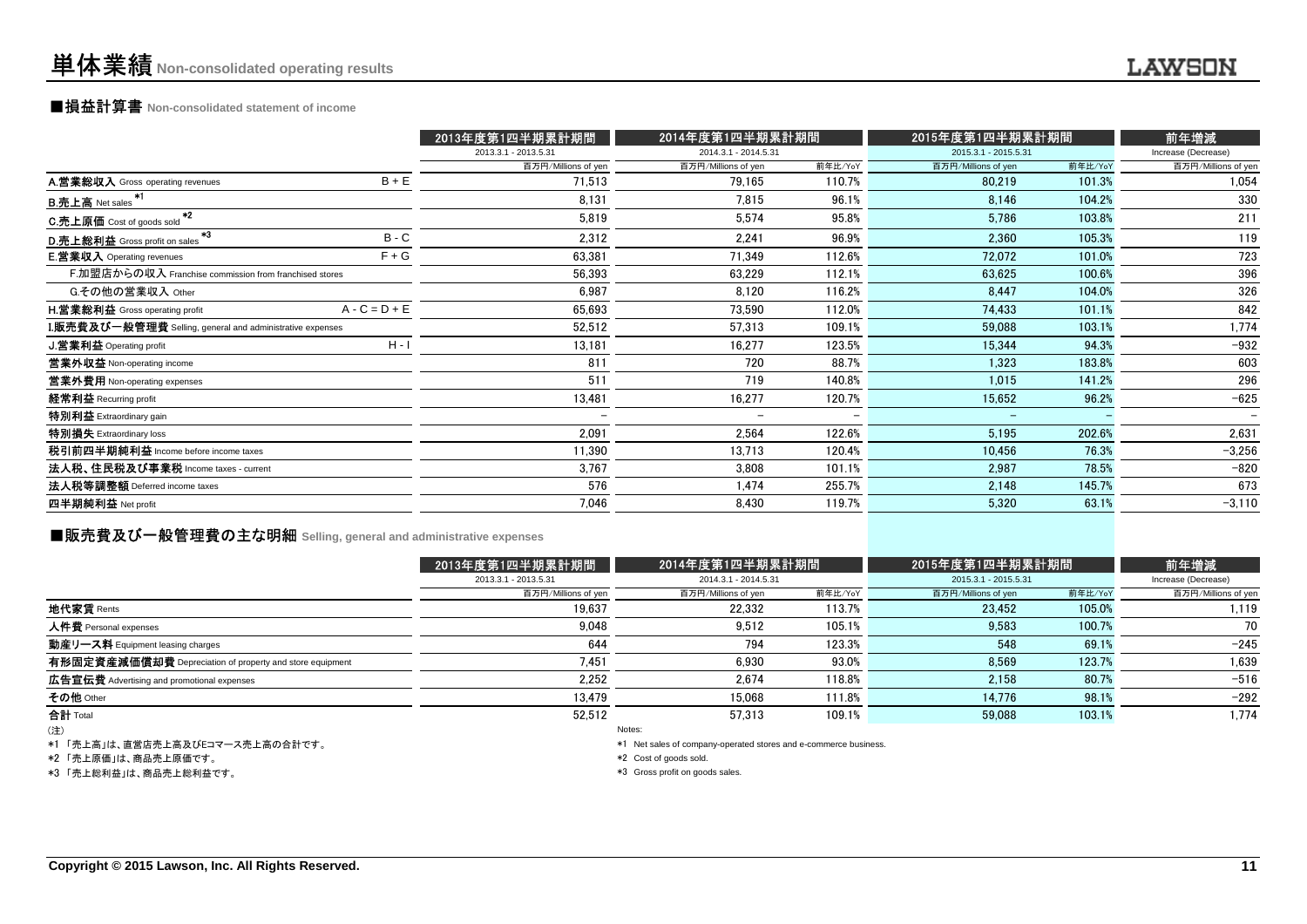### ■損益計算書 **Non-consolidated statement of income**

| 2014.3.1 - 2014.5.31<br>2015.3.1 - 2015.5.31<br>2013.3.1 - 2013.5.31<br>Increase (Decrease)<br>前年比/YoY<br>百万円/Millions of yen<br>百万円/Millions of yen<br>前年比/YoY<br>百万円/Millions of yen<br>$B + E$<br>A.営業総収入 Gross operating revenues<br>71,513<br>110.7%<br>79,165<br>101.3%<br>80,219<br>8,131<br>96.1%<br>104.2%<br>7,815<br>8,146<br><b>B.売上高</b> Net sales<br>$*2$<br>5,574<br>95.8%<br>211<br>5,819<br>5.786<br>103.8%<br>C.売上原価 Cost of goods sold<br>*3<br>$B - C$<br>2,312<br>2,241<br>96.9%<br>105.3%<br>2,360<br>D.売上総利益 Gross profit on sales<br>$F + G$<br><b>E.営業収入</b> Operating revenues<br>63,381<br>71,349<br>112.6%<br>72,072<br>101.0%<br>F.加盟店からの収入 Franchise commission from franchised stores<br>56,393<br>63,229<br>112.1%<br>63,625<br>100.6%<br>G.その他の営業収入 Other<br>6,987<br>116.2%<br>8,120<br>104.0%<br>8,447<br><b>H.営業総利益</b> Gross operating profit<br>$A - C = D + E$<br>65,693<br>112.0%<br>73,590<br>74,433<br>101.1%<br><b>I.販売費及び一般管理費</b> Selling, general and administrative expenses<br>52,512<br>109.1%<br>103.1%<br>57,313<br>59,088<br>$H - I$<br>J.営業利益 Operating profit<br>13,181<br>16,277<br>123.5%<br>94.3%<br>15,344<br>811<br>720<br>88.7%<br>1.323<br>183.8%<br>営業外収益 Non-operating income<br>511<br>719<br>140.8%<br>當業外費用 Non-operating expenses<br>1,015<br>141.2%<br>13,481<br>経常利益 Recurring profit<br>16,277<br>120.7%<br>15,652<br>96.2%<br>特別利益 Extraordinary gain<br>$\overline{\phantom{0}}$<br>-<br>特別損失 Extraordinary loss<br>2,091<br>2,564<br>122.6%<br>5,195<br>202.6%<br>税引前四半期純利益 Income before income taxes<br>11,390<br>13,713<br>120.4%<br>10,456<br>76.3%<br>法人税、住民税及び事業税 Income taxes - current<br>3,767<br>3,808<br>101.1%<br>78.5%<br>2,987<br>法人税等調整額 Deferred income taxes<br>576<br>255.7%<br>1,474<br>2,148<br>145.7%<br>四半期純利益 Net profit<br>7,046<br>8,430<br>119.7%<br>5,320<br>63.1% |  | 2013年度第1四半期累計期間 | 2014年度第1四半期累計期間 | 2015年度第1四半期累計期間 | 前年増減                     |
|------------------------------------------------------------------------------------------------------------------------------------------------------------------------------------------------------------------------------------------------------------------------------------------------------------------------------------------------------------------------------------------------------------------------------------------------------------------------------------------------------------------------------------------------------------------------------------------------------------------------------------------------------------------------------------------------------------------------------------------------------------------------------------------------------------------------------------------------------------------------------------------------------------------------------------------------------------------------------------------------------------------------------------------------------------------------------------------------------------------------------------------------------------------------------------------------------------------------------------------------------------------------------------------------------------------------------------------------------------------------------------------------------------------------------------------------------------------------------------------------------------------------------------------------------------------------------------------------------------------------------------------------------------------------------------------------------------------------------------------------------------------------------------------------------------------------------------------------------------------------|--|-----------------|-----------------|-----------------|--------------------------|
|                                                                                                                                                                                                                                                                                                                                                                                                                                                                                                                                                                                                                                                                                                                                                                                                                                                                                                                                                                                                                                                                                                                                                                                                                                                                                                                                                                                                                                                                                                                                                                                                                                                                                                                                                                                                                                                                        |  |                 |                 |                 |                          |
|                                                                                                                                                                                                                                                                                                                                                                                                                                                                                                                                                                                                                                                                                                                                                                                                                                                                                                                                                                                                                                                                                                                                                                                                                                                                                                                                                                                                                                                                                                                                                                                                                                                                                                                                                                                                                                                                        |  |                 |                 |                 | 百万円/Millions of yen      |
|                                                                                                                                                                                                                                                                                                                                                                                                                                                                                                                                                                                                                                                                                                                                                                                                                                                                                                                                                                                                                                                                                                                                                                                                                                                                                                                                                                                                                                                                                                                                                                                                                                                                                                                                                                                                                                                                        |  |                 |                 |                 | 1,054                    |
|                                                                                                                                                                                                                                                                                                                                                                                                                                                                                                                                                                                                                                                                                                                                                                                                                                                                                                                                                                                                                                                                                                                                                                                                                                                                                                                                                                                                                                                                                                                                                                                                                                                                                                                                                                                                                                                                        |  |                 |                 |                 | 330                      |
|                                                                                                                                                                                                                                                                                                                                                                                                                                                                                                                                                                                                                                                                                                                                                                                                                                                                                                                                                                                                                                                                                                                                                                                                                                                                                                                                                                                                                                                                                                                                                                                                                                                                                                                                                                                                                                                                        |  |                 |                 |                 |                          |
|                                                                                                                                                                                                                                                                                                                                                                                                                                                                                                                                                                                                                                                                                                                                                                                                                                                                                                                                                                                                                                                                                                                                                                                                                                                                                                                                                                                                                                                                                                                                                                                                                                                                                                                                                                                                                                                                        |  |                 |                 |                 | 119                      |
|                                                                                                                                                                                                                                                                                                                                                                                                                                                                                                                                                                                                                                                                                                                                                                                                                                                                                                                                                                                                                                                                                                                                                                                                                                                                                                                                                                                                                                                                                                                                                                                                                                                                                                                                                                                                                                                                        |  |                 |                 |                 | 723                      |
|                                                                                                                                                                                                                                                                                                                                                                                                                                                                                                                                                                                                                                                                                                                                                                                                                                                                                                                                                                                                                                                                                                                                                                                                                                                                                                                                                                                                                                                                                                                                                                                                                                                                                                                                                                                                                                                                        |  |                 |                 |                 | 396                      |
|                                                                                                                                                                                                                                                                                                                                                                                                                                                                                                                                                                                                                                                                                                                                                                                                                                                                                                                                                                                                                                                                                                                                                                                                                                                                                                                                                                                                                                                                                                                                                                                                                                                                                                                                                                                                                                                                        |  |                 |                 |                 | 326                      |
|                                                                                                                                                                                                                                                                                                                                                                                                                                                                                                                                                                                                                                                                                                                                                                                                                                                                                                                                                                                                                                                                                                                                                                                                                                                                                                                                                                                                                                                                                                                                                                                                                                                                                                                                                                                                                                                                        |  |                 |                 |                 | 842                      |
|                                                                                                                                                                                                                                                                                                                                                                                                                                                                                                                                                                                                                                                                                                                                                                                                                                                                                                                                                                                                                                                                                                                                                                                                                                                                                                                                                                                                                                                                                                                                                                                                                                                                                                                                                                                                                                                                        |  |                 |                 |                 | 1,774                    |
|                                                                                                                                                                                                                                                                                                                                                                                                                                                                                                                                                                                                                                                                                                                                                                                                                                                                                                                                                                                                                                                                                                                                                                                                                                                                                                                                                                                                                                                                                                                                                                                                                                                                                                                                                                                                                                                                        |  |                 |                 |                 | $-932$                   |
|                                                                                                                                                                                                                                                                                                                                                                                                                                                                                                                                                                                                                                                                                                                                                                                                                                                                                                                                                                                                                                                                                                                                                                                                                                                                                                                                                                                                                                                                                                                                                                                                                                                                                                                                                                                                                                                                        |  |                 |                 |                 | 603                      |
|                                                                                                                                                                                                                                                                                                                                                                                                                                                                                                                                                                                                                                                                                                                                                                                                                                                                                                                                                                                                                                                                                                                                                                                                                                                                                                                                                                                                                                                                                                                                                                                                                                                                                                                                                                                                                                                                        |  |                 |                 |                 | 296                      |
|                                                                                                                                                                                                                                                                                                                                                                                                                                                                                                                                                                                                                                                                                                                                                                                                                                                                                                                                                                                                                                                                                                                                                                                                                                                                                                                                                                                                                                                                                                                                                                                                                                                                                                                                                                                                                                                                        |  |                 |                 |                 | $-625$                   |
|                                                                                                                                                                                                                                                                                                                                                                                                                                                                                                                                                                                                                                                                                                                                                                                                                                                                                                                                                                                                                                                                                                                                                                                                                                                                                                                                                                                                                                                                                                                                                                                                                                                                                                                                                                                                                                                                        |  |                 |                 |                 | $\overline{\phantom{0}}$ |
|                                                                                                                                                                                                                                                                                                                                                                                                                                                                                                                                                                                                                                                                                                                                                                                                                                                                                                                                                                                                                                                                                                                                                                                                                                                                                                                                                                                                                                                                                                                                                                                                                                                                                                                                                                                                                                                                        |  |                 |                 |                 | 2,631                    |
|                                                                                                                                                                                                                                                                                                                                                                                                                                                                                                                                                                                                                                                                                                                                                                                                                                                                                                                                                                                                                                                                                                                                                                                                                                                                                                                                                                                                                                                                                                                                                                                                                                                                                                                                                                                                                                                                        |  |                 |                 |                 | $-3,256$                 |
|                                                                                                                                                                                                                                                                                                                                                                                                                                                                                                                                                                                                                                                                                                                                                                                                                                                                                                                                                                                                                                                                                                                                                                                                                                                                                                                                                                                                                                                                                                                                                                                                                                                                                                                                                                                                                                                                        |  |                 |                 |                 | $-820$                   |
|                                                                                                                                                                                                                                                                                                                                                                                                                                                                                                                                                                                                                                                                                                                                                                                                                                                                                                                                                                                                                                                                                                                                                                                                                                                                                                                                                                                                                                                                                                                                                                                                                                                                                                                                                                                                                                                                        |  |                 |                 |                 | 673                      |
|                                                                                                                                                                                                                                                                                                                                                                                                                                                                                                                                                                                                                                                                                                                                                                                                                                                                                                                                                                                                                                                                                                                                                                                                                                                                                                                                                                                                                                                                                                                                                                                                                                                                                                                                                                                                                                                                        |  |                 |                 |                 | $-3,110$                 |

### **■販売費及び一般管理費の主な明細** Selling, general and administrative expenses

|                                                          | 2013年度第1四半期累計期間      | 2014年度第1四半期累計期間      |         | 2015年度第1四半期累計期間      |         | 前年増減                |
|----------------------------------------------------------|----------------------|----------------------|---------|----------------------|---------|---------------------|
|                                                          | 2013.3.1 - 2013.5.31 | 2014.3.1 - 2014.5.31 |         | 2015.3.1 - 2015.5.31 |         | Increase (Decrease) |
|                                                          | 百万円/Millions of yen  | 百万円/Millions of yen  | 前年比/YoY | 百万円/Millions of yen  | 前年比/YoY | 百万円/Millions of yen |
| 地代家賃 Rents                                               | 19,637               | 22.332               | 113.7%  | 23,452               | 105.0%  | 1,119               |
| 人件費 Personal expenses                                    | 9,048                | 9,512                | 105.1%  | 9,583                | 100.7%  | 70                  |
| 動産リース料 Equipment leasing charges                         | 644                  | 794                  | 123.3%  | 548                  | 69.1%   | $-245$              |
| 有形固定資産減価償却費 Depreciation of property and store equipment | 7,451                | 6.930                | 93.0%   | 8,569                | 123.7%  | 1,639               |
| 広告宣伝費 Advertising and promotional expenses               | 2.252                | 2.674                | 118.8%  | 2,158                | 80.7%   | $-516$              |
| その他 Other                                                | 13.479               | 15.068               | 111.8%  | 14.776               | 98.1%   | $-292$              |
| 合計 Total                                                 | 52.512               | 57.313               | 109.1%  | 59.088               | 103.1%  | 1,774               |
| (注)                                                      |                      | Notes:               |         |                      |         |                     |

(注)

\*1 「売上高」は、直営店売上高及びEコマース売上高の合計です。

\*2 「売上原価」は、商品売上原価です。

\*3 「売上総利益」は、商品売上総利益です。

Notes:

\*1 Net sales of company-operated stores and e-commerce business.

\*2 Cost of goods sold.

\*3 Gross profit on goods sales.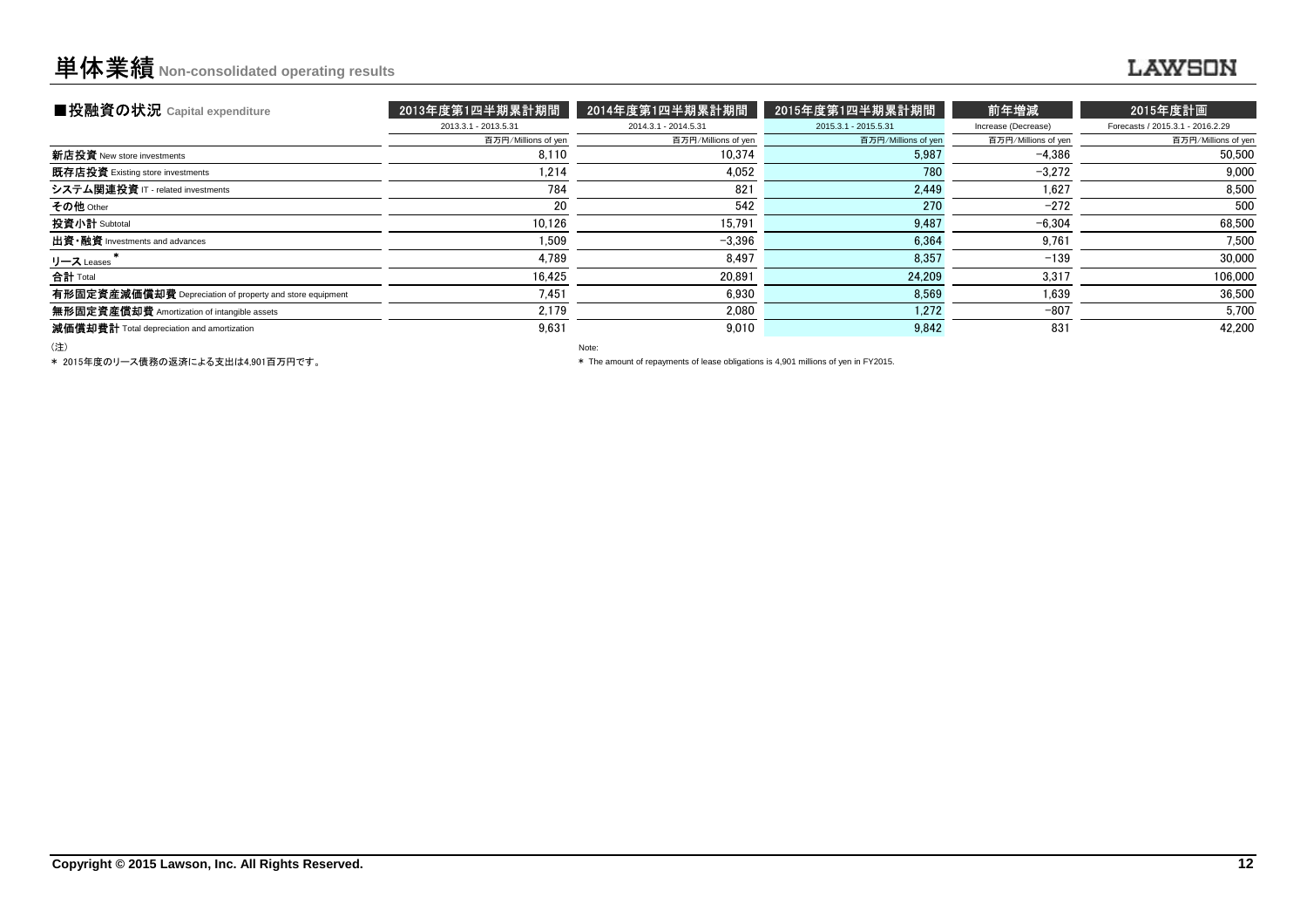## 単体業績**Non-consolidated operating results**

## ........

| ■投融資の状況 Capital expenditure                              | 2013年度第1四半期累計期間      | 2014年度第1四半期累計期間      | 2015年度第1四半期累計期間      | 前年増減                | 2015年度計画                         |
|----------------------------------------------------------|----------------------|----------------------|----------------------|---------------------|----------------------------------|
|                                                          | 2013.3.1 - 2013.5.31 | 2014.3.1 - 2014.5.31 | 2015.3.1 - 2015.5.31 | Increase (Decrease) | Forecasts / 2015.3.1 - 2016.2.29 |
|                                                          | 百万円/Millions of yen  | 百万円/Millions of yen  | 百万円/Millions of yen  | 百万円/Millions of yen | 百万円/Millions of yen              |
| <b>新店投資</b> New store investments                        | 8.110                | 10.374               | 5,987                | $-4.386$            | 50,500                           |
| 既存店投資 Existing store investments                         | 1.214                | 4,052                | 780                  | $-3.272$            | 9,000                            |
| システム関連投資 IT - related investments                        | 784                  | 821                  | 2.449                | 1.627               | 8.500                            |
| その他 Other                                                | 20                   | 542                  | 270                  | $-272$              | 500                              |
| 投資小計 Subtotal                                            | 10.126               | 15.791               | 9,487                | $-6.304$            | 68,500                           |
| 出資 · 融資 Investments and advances                         | 1.509                | $-3.396$             | 6.364                | 9,761               | 7.500                            |
| リース Leases                                               | 4,789                | 8,497                | 8,357                | $-139$              | 30,000                           |
| 合計 Total                                                 | 16.425               | 20.891               | 24,209               | 3,317               | 106.000                          |
| 有形固定資産減価償却費 Depreciation of property and store equipment | 7.451                | 6.930                | 8.569                | 1.639               | 36.500                           |
| 無形固定資産償却費 Amortization of intangible assets              | 2.179                | 2.080                | 1.272                | $-807$              | 5,700                            |
| 減価償却費計 Total depreciation and amortization               | 9,631                | 9.010                | 9,842                | 831                 | 42,200                           |
|                                                          |                      |                      |                      |                     |                                  |

(注)

\* 2015年度のリース債務の返済による支出は4,901百万円です。

Note:

\* The amount of repayments of lease obligations is 4,901 millions of yen in FY2015.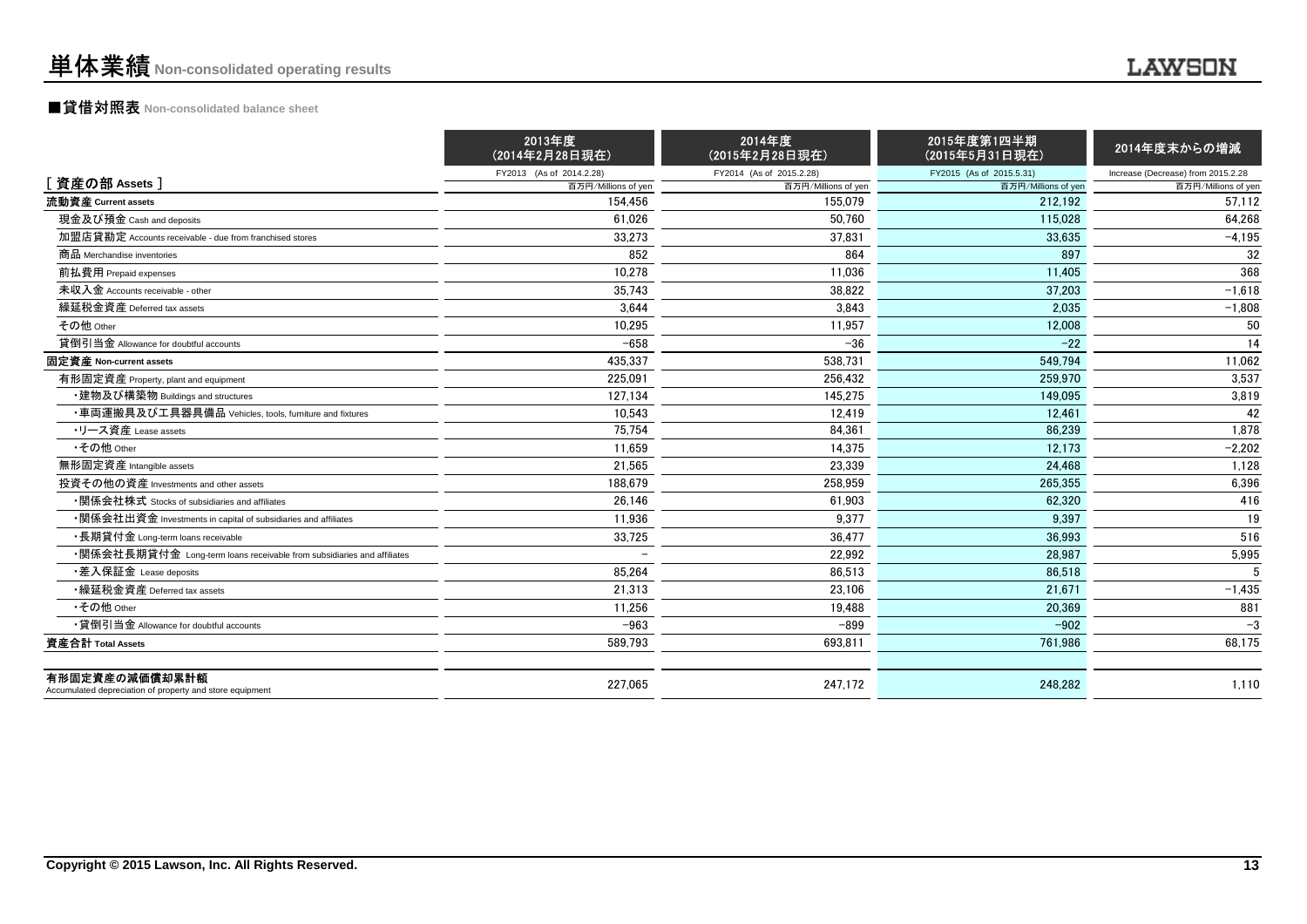### ■貸借対照表 **Non-consolidated balance sheet**

|                                                                            | 2013年度<br>(2014年2月28日現在) | 2014年度<br>(2015年2月28日現在) | 2015年度第1四半期<br>(2015年5月31日現在) | 2014年度末からの増減                       |
|----------------------------------------------------------------------------|--------------------------|--------------------------|-------------------------------|------------------------------------|
|                                                                            | FY2013 (As of 2014.2.28) | FY2014 (As of 2015.2.28) | FY2015 (As of 2015.5.31)      | Increase (Decrease) from 2015.2.28 |
| [資産の部 Assets]                                                              | 百万円/Millions of yen      | 百万円/Millions of yen      | 百万円/Millions of yen           | 百万円/Millions of yen                |
| 流動資産 Current assets                                                        | 154.456                  | 155.079                  | 212.192                       | 57.112                             |
| 現金及び預金 Cash and deposits                                                   | 61.026                   | 50.760                   | 115.028                       | 64,268                             |
| 加盟店貸勘定 Accounts receivable - due from franchised stores                    | 33,273                   | 37,831                   | 33,635                        | $-4,195$                           |
| 商品 Merchandise inventories                                                 | 852                      | 864                      | 897                           | 32                                 |
| 前払費用 Prepaid expenses                                                      | 10.278                   | 11.036                   | 11.405                        | 368                                |
| 未収入金 Accounts receivable - other                                           | 35.743                   | 38.822                   | 37.203                        | $-1,618$                           |
| 繰延税金資産 Deferred tax assets                                                 | 3,644                    | 3,843                    | 2,035                         | $-1,808$                           |
| その他 Other                                                                  | 10,295                   | 11,957                   | 12,008                        | 50                                 |
| 貸倒引当金 Allowance for doubtful accounts                                      | $-658$                   | $-36$                    | $-22$                         | 14                                 |
| 固定資産 Non-current assets                                                    | 435.337                  | 538.731                  | 549.794                       | 11.062                             |
| 有形固定資産 Property, plant and equipment                                       | 225,091                  | 256,432                  | 259.970                       | 3,537                              |
| ・建物及び構築物 Buildings and structures                                          | 127,134                  | 145,275                  | 149.095                       | 3,819                              |
| ・車両運搬具及び工具器具備品 Vehicles, tools, furniture and fixtures                     | 10.543                   | 12.419                   | 12.461                        | 42                                 |
| ・リース資産 Lease assets                                                        | 75.754                   | 84,361                   | 86,239                        | 1,878                              |
| •その他 Other                                                                 | 11.659                   | 14.375                   | 12.173                        | $-2.202$                           |
| 無形固定資産 Intangible assets                                                   | 21.565                   | 23.339                   | 24.468                        | 1,128                              |
| 投資その他の資産 Investments and other assets                                      | 188,679                  | 258,959                  | 265,355                       | 6,396                              |
| •関係会社株式 Stocks of subsidiaries and affiliates                              | 26.146                   | 61.903                   | 62.320                        | 416                                |
| •関係会社出資金 Investments in capital of subsidiaries and affiliates             | 11.936                   | 9.377                    | 9.397                         | 19                                 |
| ・長期貸付金 Long-term loans receivable                                          | 33,725                   | 36.477                   | 36.993                        | 516                                |
| •関係会社長期貸付金 Long-term loans receivable from subsidiaries and affiliates     |                          | 22,992                   | 28,987                        | 5,995                              |
| ・差入保証金 Lease deposits                                                      | 85,264                   | 86,513                   | 86,518                        |                                    |
| •繰延税金資産 Deferred tax assets                                                | 21.313                   | 23.106                   | 21.671                        | $-1,435$                           |
| •その他 Other                                                                 | 11.256                   | 19.488                   | 20.369                        | 881                                |
| •貸倒引当金 Allowance for doubtful accounts                                     | $-963$                   | $-899$                   | $-902$                        | $-3$                               |
| 資産合計 Total Assets                                                          | 589,793                  | 693,811                  | 761,986                       | 68,175                             |
| 有形固定資産の減価償却累計額<br>Accumulated depreciation of property and store equipment | 227.065                  | 247.172                  | 248.282                       | 1,110                              |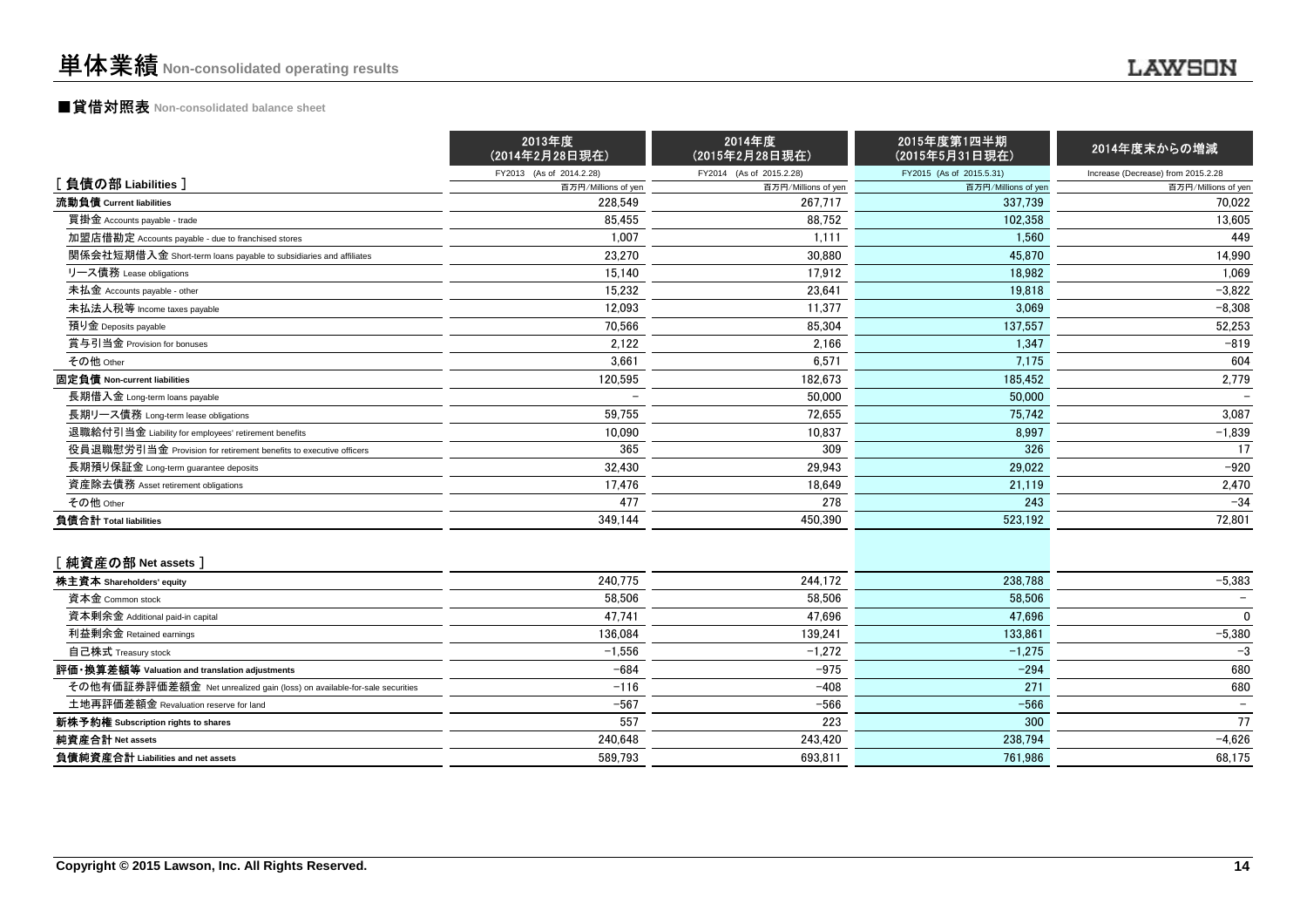## ■貸借対照表 **Non-consolidated balance sheet**

|                                                                          | 2013年度<br>(2014年2月28日現在) | 2014年度<br>(2015年2月28日現在) | 2015年度第1四半期<br>(2015年5月31日現在) | 2014年度末からの増減                       |
|--------------------------------------------------------------------------|--------------------------|--------------------------|-------------------------------|------------------------------------|
|                                                                          | FY2013 (As of 2014.2.28) | FY2014 (As of 2015.2.28) | FY2015 (As of 2015.5.31)      | Increase (Decrease) from 2015.2.28 |
| [負債の部 Liabilities]                                                       | 百万円/Millions of yen      | 百万円/Millions of yen      | 百万円/Millions of yen           | 百万円/Millions of yen                |
| 流動負債 Current liabilities                                                 | 228.549                  | 267,717                  | 337.739                       | 70,022                             |
| 買掛金 Accounts payable - trade                                             | 85,455                   | 88,752                   | 102,358                       | 13,605                             |
| 加盟店借勘定 Accounts payable - due to franchised stores                       | 1,007                    | 1,111                    | 1,560                         | 449                                |
| 関係会社短期借入金 Short-term loans payable to subsidiaries and affiliates        | 23.270                   | 30.880                   | 45.870                        | 14.990                             |
| リース債務 Lease obligations                                                  | 15,140                   | 17,912                   | 18,982                        | 1,069                              |
| 未払金 Accounts payable - other                                             | 15,232                   | 23,641                   | 19,818                        | $-3,822$                           |
| 未払法人税等 Income taxes payable                                              | 12.093                   | 11.377                   | 3.069                         | $-8.308$                           |
| 預り金 Deposits payable                                                     | 70.566                   | 85,304                   | 137,557                       | 52,253                             |
| 賞与引当金 Provision for bonuses                                              | 2,122                    | 2,166                    | 1,347                         | $-819$                             |
| その他 Other                                                                | 3,661                    | 6.571                    | 7,175                         | 604                                |
| 固定負債 Non-current liabilities                                             | 120,595                  | 182,673                  | 185,452                       | 2,779                              |
| 長期借入金 Long-term loans payable                                            |                          | 50,000                   | 50,000                        |                                    |
| 長期リース債務 Long-term lease obligations                                      | 59,755                   | 72,655                   | 75,742                        | 3,087                              |
| 退職給付引当金 Liability for employees' retirement benefits                     | 10,090                   | 10,837                   | 8,997                         | $-1,839$                           |
| 役員退職慰労引当金 Provision for retirement benefits to executive officers        | 365                      | 309                      | 326                           | 17                                 |
| 長期預り保証金 Long-term guarantee deposits                                     | 32,430                   | 29,943                   | 29,022                        | $-920$                             |
| 資産除去債務 Asset retirement obligations                                      | 17,476                   | 18,649                   | 21,119                        | 2,470                              |
| その他 Other                                                                | 477                      | 278                      | 243                           | $-34$                              |
| 負債合計 Total liabilities                                                   | 349,144                  | 450,390                  | 523,192                       | 72,801                             |
| [純資産の部 Net assets ]                                                      |                          |                          |                               |                                    |
| 株主資本 Shareholders' equity                                                | 240,775                  | 244,172                  | 238.788                       | $-5,383$                           |
| 資本金 Common stock                                                         | 58,506                   | 58,506                   | 58,506                        | $\overline{\phantom{0}}$           |
| 資本剰余金 Additional paid-in capital                                         | 47.741                   | 47.696                   | 47.696                        | $\mathbf{0}$                       |
| 利益剰余金 Retained earnings                                                  | 136,084                  | 139.241                  | 133,861                       | $-5,380$                           |
| 自己株式 Treasury stock                                                      | $-1,556$                 | $-1.272$                 | $-1.275$                      | $-3$                               |
| 評価 換算差額等 Valuation and translation adjustments                           | $-684$                   | $-975$                   | $-294$                        | 680                                |
| その他有価証券評価差額金 Net unrealized gain (loss) on available-for-sale securities | $-116$                   | $-408$                   | 271                           | 680                                |
| 土地再評価差額金 Revaluation reserve for land                                    | $-567$                   | $-566$                   | $-566$                        | $\overline{\phantom{a}}$           |
| 新株予約権 Subscription rights to shares                                      | 557                      | 223                      | 300                           | 77                                 |
| 純資産合計 Net assets                                                         | 240,648                  | 243,420                  | 238,794                       | $-4,626$                           |
| 負債純資産合計 Liabilities and net assets                                       | 589,793                  | 693.811                  | 761.986                       | 68,175                             |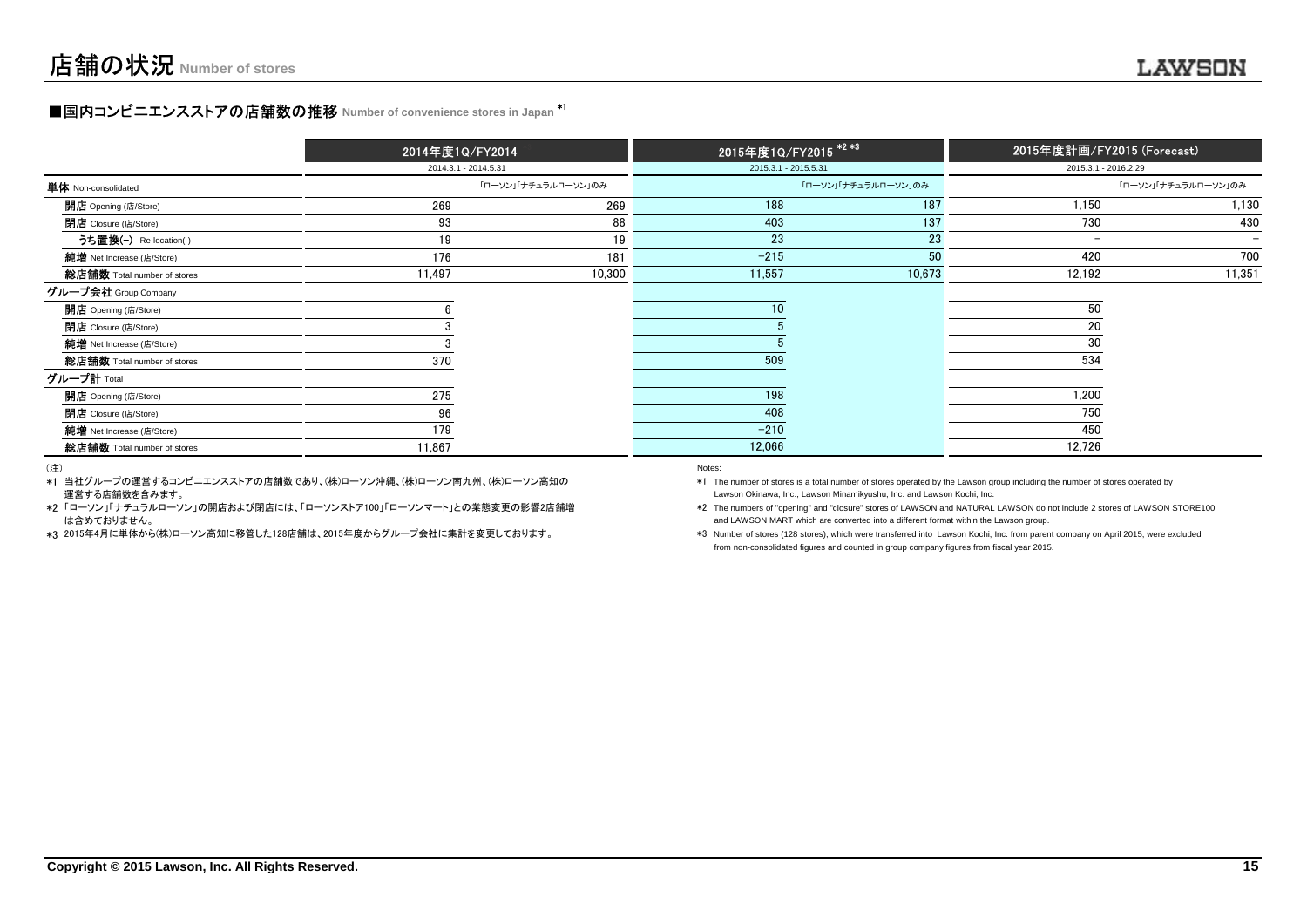### **■国内コンビニエンスストアの店舗数の推移** Number of convenience stores in Japan <sup>\*1</sup>

|                             | 2014年度1Q/FY2014      | 2015年度1Q/FY2015 <sup>*2*3</sup> |                      |                     | 2015年度計画/FY2015 (Forecast) |        |  |
|-----------------------------|----------------------|---------------------------------|----------------------|---------------------|----------------------------|--------|--|
|                             | 2014.3.1 - 2014.5.31 |                                 | 2015.3.1 - 2015.5.31 |                     | 2015.3.1 - 2016.2.29       |        |  |
| <b>単体</b> Non-consolidated  |                      | 「ローソン」「ナチュラルローソン」のみ             |                      | 「ローソン」「ナチュラルローソン」のみ | 「ローソン」「ナチュラルローソン」のみ        |        |  |
| <b>開店</b> Opening (店/Store) | 269                  | 269                             | 188                  | 187                 | 1,150                      | 1,130  |  |
| <b>閉店</b> Closure (店/Store) | 93                   | 88                              | 403                  | 137                 | 730                        | 430    |  |
| うち置換(-) Re-location(-)      | 19                   | 19                              | 23                   | 23                  | $\overline{\phantom{a}}$   |        |  |
| 純增 Net Increase (店/Store)   | 176                  | 181                             | $-215$               | 50                  | 420                        | 700    |  |
| 総店舗数 Total number of stores | 11,497               | 10,300                          | 11,557               | 10,673              | 12,192                     | 11,351 |  |
| グループ会社 Group Company        |                      |                                 |                      |                     |                            |        |  |
| <b>開店</b> Opening (店/Store) |                      |                                 | 10 <sup>°</sup>      |                     | 50                         |        |  |
| <b>閉店</b> Closure (店/Store) |                      |                                 |                      |                     | 20                         |        |  |
| 純增 Net Increase (店/Store)   |                      |                                 |                      |                     | 30                         |        |  |
| 総店舗数 Total number of stores | 370                  |                                 | 509                  |                     | 534                        |        |  |
| グループ計 <sub>Total</sub>      |                      |                                 |                      |                     |                            |        |  |
| 開店 Opening (店/Store)        | 275                  |                                 | 198                  |                     | 1,200                      |        |  |
| <b>閉店</b> Closure (店/Store) | 96                   |                                 | 408                  |                     | 750                        |        |  |
| 純增 Net Increase (店/Store)   | 179                  |                                 | $-210$               |                     | 450                        |        |  |
| 総店舗数 Total number of stores | 11,867               |                                 | 12,066               |                     | 12,726                     |        |  |

(注)

\*1当社グループの運営するコンビニエンスストアの店舗数であり、(株)ローソン沖縄、(株)ローソン南九州、(株)ローソン高知の運営する店舗数を含みます。

\*2「ローソン」「ナチュラルローソン」の開店および閉店には、「ローソンストア100」「ローソンマート」との業態変更の影響2店舗増 は含めておりません。

\*3 2015年4月に単体から(株)ローソン高知に移管した128店舗は、2015年度からグループ会社に集計を変更しております。

#### entropy of the control of the control of the control of the control of the control of the control of the control of the control of the control of the control of the control of the control of the control of the control of t

 Lawson Okinawa, Inc., Lawson Minamikyushu, Inc. and Lawson Kochi, Inc.\*1 The number of stores is a total number of stores operated by the Lawson group including the number of stores operated by

\*2 The numbers of "opening" and "closure" stores of LAWSON and NATURAL LAWSON do not include 2 stores of LAWSON STORE100and LAWSON MART which are converted into a different format within the Lawson group.

\*3 Number of stores (128 stores), which were transferred into Lawson Kochi, Inc. from parent company on April 2015, were excludedfrom non-consolidated figures and counted in group company figures from fiscal year 2015.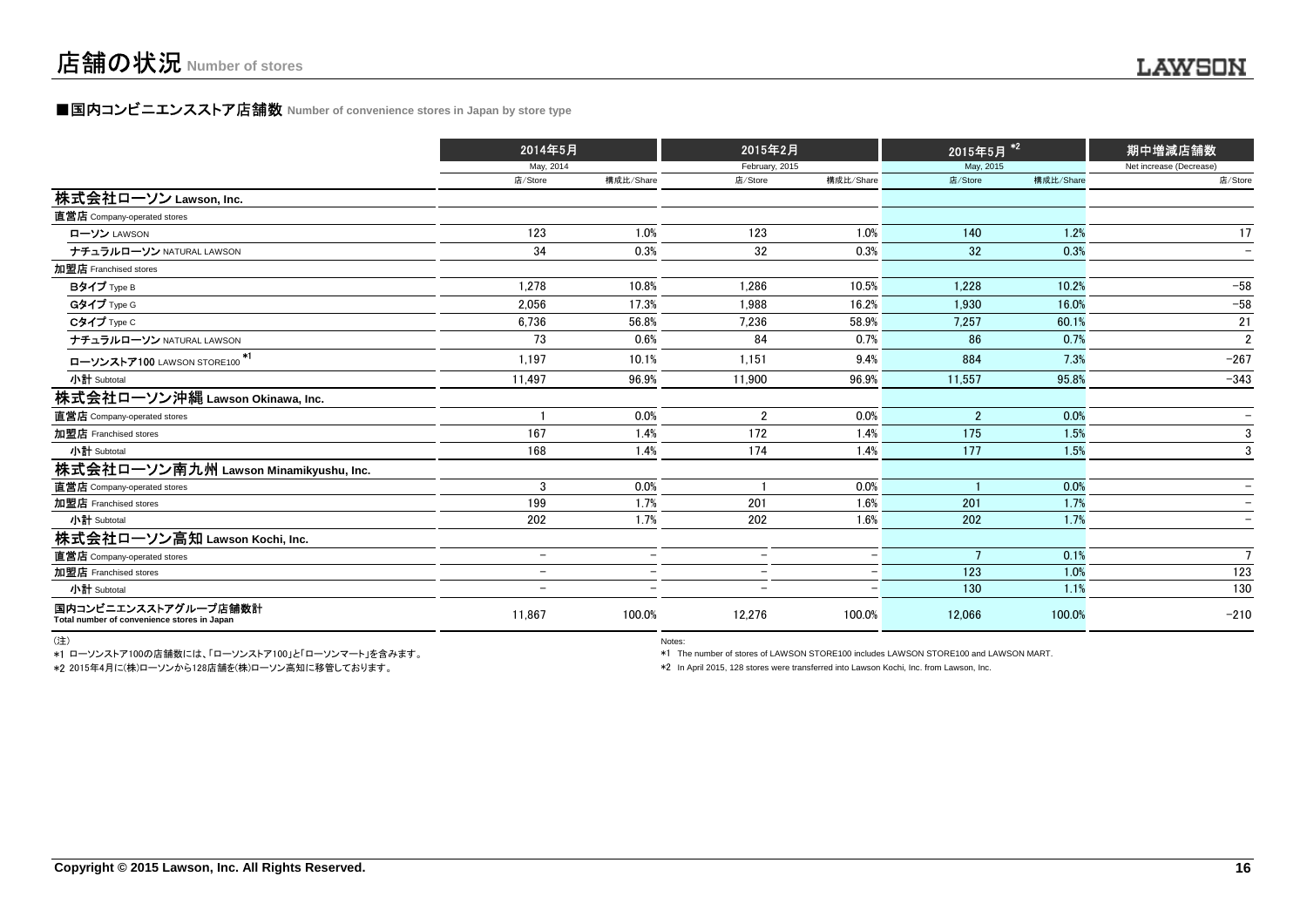#### **■国内コンビニエンスストア店舗数 Number of convenience stores in Japan by store type**

|                                                                     | 2014年5月                  |                          | 2015年2月                  |                          | 2015年5月        | $\ast$ 2  | 期中増減店舗数                  |  |
|---------------------------------------------------------------------|--------------------------|--------------------------|--------------------------|--------------------------|----------------|-----------|--------------------------|--|
|                                                                     | May, 2014                |                          | February, 2015           |                          | May, 2015      |           | Net increase (Decrease)  |  |
|                                                                     | 店/Store                  | 構成比/Share                | 店/Store                  | 構成比/Share                | 店/Store        | 構成比/Share | 店/Store                  |  |
| 株式会社ローソン Lawson, Inc.                                               |                          |                          |                          |                          |                |           |                          |  |
| 直営店 Company-operated stores                                         |                          |                          |                          |                          |                |           |                          |  |
| ローソン LAWSON                                                         | 123                      | 1.0%                     | 123                      | 1.0%                     | 140            | 1.2%      | 17                       |  |
| ナチュラルローソン NATURAL LAWSON                                            | 34                       | 0.3%                     | 32                       | 0.3%                     | 32             | 0.3%      | $\overline{\phantom{0}}$ |  |
| 加盟店 Franchised stores                                               |                          |                          |                          |                          |                |           |                          |  |
| Bタイプ Type B                                                         | 1.278                    | 10.8%                    | 1.286                    | 10.5%                    | 1.228          | 10.2%     | $-58$                    |  |
| Gタイプ Type G                                                         | 2.056                    | 17.3%                    | 1.988                    | 16.2%                    | 1.930          | 16.0%     | $-58$                    |  |
| Cタイプ Type C                                                         | 6.736                    | 56.8%                    | 7.236                    | 58.9%                    | 7.257          | 60.1%     | 21                       |  |
| ナチュラルローソン NATURAL LAWSON                                            | 73                       | 0.6%                     | 84                       | 0.7%                     | 86             | 0.7%      | $\overline{2}$           |  |
| ローソンストア100 LAWSON STORE100 <sup>*1</sup>                            | 1.197                    | 10.1%                    | 1.151                    | 9.4%                     | 884            | 7.3%      | $-267$                   |  |
| 小計 Subtotal                                                         | 11.497                   | 96.9%                    | 11.900                   | 96.9%                    | 11.557         | 95.8%     | $-343$                   |  |
| 株式会社ローソン沖縄 Lawson Okinawa, Inc.                                     |                          |                          |                          |                          |                |           |                          |  |
| 直営店 Company-operated stores                                         |                          | 0.0%                     | $\overline{2}$           | 0.0%                     | $\overline{2}$ | 0.0%      |                          |  |
| 加盟店 Franchised stores                                               | 167                      | 1.4%                     | 172                      | 1.4%                     | 175            | 1.5%      | 3                        |  |
| 小計 Subtotal                                                         | 168                      | 1.4%                     | 174                      | 1.4%                     | 177            | 1.5%      | 3                        |  |
| 株式会社ローソン南九州 Lawson Minamikyushu, Inc.                               |                          |                          |                          |                          |                |           |                          |  |
| 直営店 Company-operated stores                                         | 3                        | 0.0%                     |                          | 0.0%                     |                | 0.0%      |                          |  |
| 加盟店 Franchised stores                                               | 199                      | 1.7%                     | 201                      | 1.6%                     | 201            | 1.7%      |                          |  |
| 小計 Subtotal                                                         | 202                      | 1.7%                     | 202                      | 1.6%                     | 202            | 1.7%      |                          |  |
| 株式会社ローソン高知 Lawson Kochi, Inc.                                       |                          |                          |                          |                          |                |           |                          |  |
| 直営店 Company-operated stores                                         | $\overline{\phantom{a}}$ | $\overline{\phantom{0}}$ | $\overline{\phantom{0}}$ | $\overline{\phantom{0}}$ |                | 0.1%      | $7\overline{ }$          |  |
| 加盟店 Franchised stores                                               | $\overline{\phantom{a}}$ |                          | $\overline{\phantom{a}}$ |                          | 123            | 1.0%      | 123                      |  |
| 小計 Subtotal                                                         | -                        | $\overline{\phantom{0}}$ | $\overline{\phantom{a}}$ |                          | 130            | 1.1%      | 130                      |  |
| 国内コンビニエンスストアグループ店舗数計<br>Total number of convenience stores in Japan | 11.867                   | 100.0%                   | 12,276                   | 100.0%                   | 12,066         | 100.0%    | $-210$                   |  |

(注)

\*1 ローソンストア100の店舗数には、「ローソンストア100」と「ローソンマート」を含みます。

\*2 2015年4月に(株)ローソンから128店舗を(株)ローソン高知に移管しております。

entration of the contract of the contract of the contract of the contract of the contract of the contract of the contract of the contract of the contract of the contract of the contract of the contract of the contract of t

\*1 The number of stores of LAWSON STORE100 includes LAWSON STORE100 and LAWSON MART.

\*2 In April 2015, 128 stores were transferred into Lawson Kochi, Inc. from Lawson, Inc.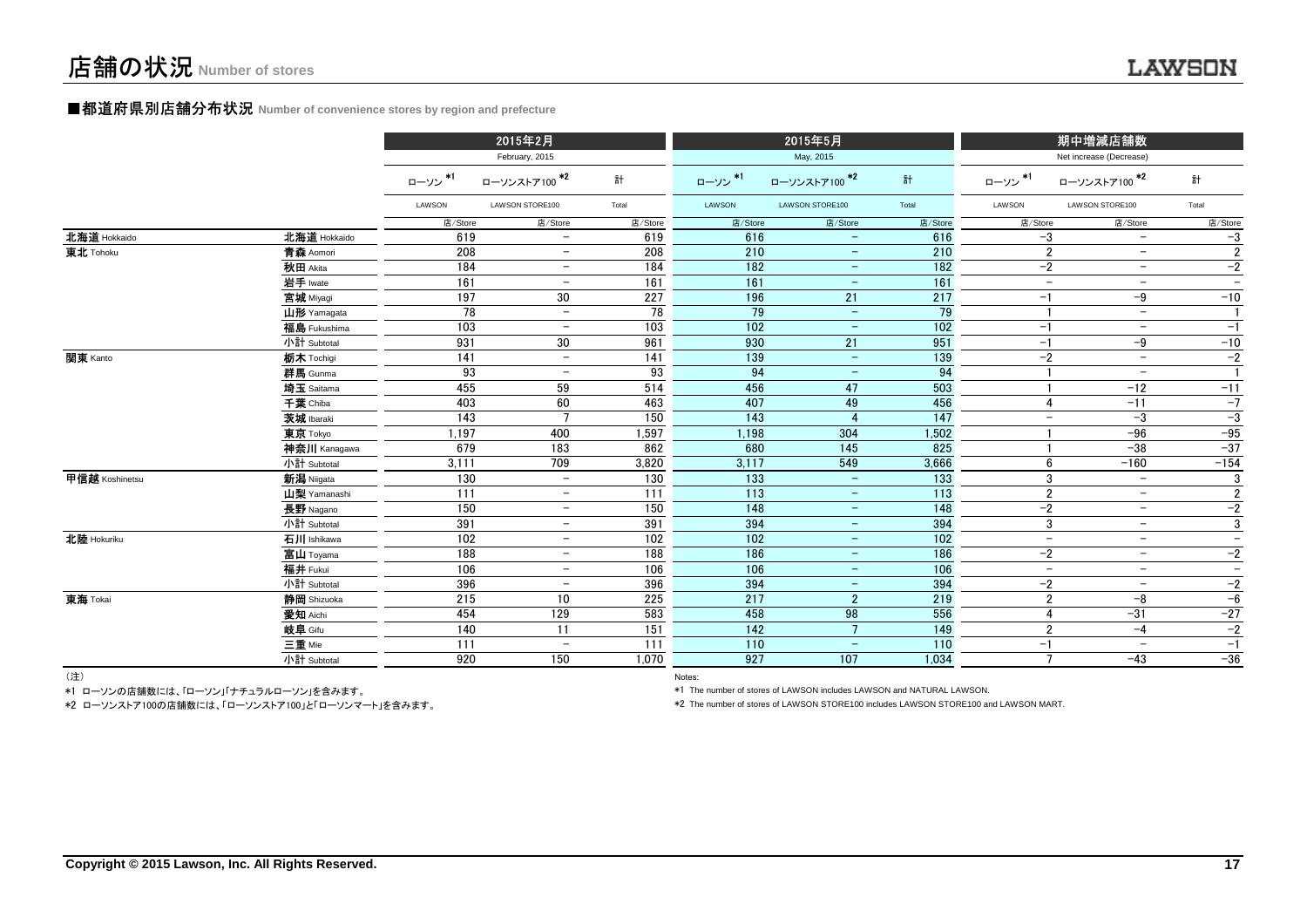#### **■都道府県別店舗分布状況** Number of convenience stores by region and prefecture

|                |              |         | 2015年2月                  |         |                  | 2015年5月                  |                 |                          | 期中増減店舗数                  |                          |  |
|----------------|--------------|---------|--------------------------|---------|------------------|--------------------------|-----------------|--------------------------|--------------------------|--------------------------|--|
|                |              |         | February, 2015           |         |                  | May, 2015                |                 |                          | Net increase (Decrease)  |                          |  |
|                |              | ローソン*1  | ローソンストア100 <sup>*2</sup> | 計       | ローソン*1           | ローソンストア100 *2            | 計               | ローソン*1                   | ローソンストア100 <sup>*2</sup> | 計                        |  |
|                |              | LAWSON  | LAWSON STORE100          | Total   | LAWSON           | LAWSON STORE100          | Total           | LAWSON                   | LAWSON STORE100          | Total                    |  |
|                |              | 店/Store | 店/Store                  | 店/Store | 店/Store          | 店/Store                  | 店/Store         | 店/Store                  | 店/Store                  | 店/Store                  |  |
| 北海道 Hokkaido   | 北海道 Hokkaido | 619     | $\overline{\phantom{0}}$ | 619     | 616              | $\overline{\phantom{0}}$ | 616             | $-3$                     | $\overline{\phantom{m}}$ | $-3$                     |  |
| 東北 Tohoku      | 青森 Aomori    | 208     |                          | 208     | 210              | $\overline{\phantom{m}}$ | 210             | $\overline{2}$           | $\qquad \qquad -$        | $\overline{2}$           |  |
|                | 秋田 Akita     | 184     |                          | 184     | 182              | $\overline{\phantom{m}}$ | 182             | $-2$                     | $\overline{\phantom{m}}$ | $-2$                     |  |
|                | 岩手 Iwate     | 161     |                          | 161     | 161              | $\qquad \qquad -$        | 161             | $\overline{\phantom{a}}$ | $\overline{\phantom{m}}$ | $\overline{\phantom{m}}$ |  |
|                | 宮城 Miyagi    | 197     | 30                       | 227     | 196              | 21                       | 217             | $-1$                     | $-9$                     | $-10$                    |  |
|                | 山形 Yamagata  | 78      | $\overline{\phantom{m}}$ | 78      | 79               | $\overline{\phantom{a}}$ | 79              | -1                       | $\qquad \qquad -$        | $\mathbf{1}$             |  |
|                | 福島 Fukushima | 103     | $\overline{\phantom{m}}$ | 103     | 102              | $\overline{\phantom{m}}$ | 102             | $-1$                     | $\overline{\phantom{m}}$ | $-1$                     |  |
|                | 小計 Subtotal  | 931     | 30                       | 961     | 930              | 21                       | 951             | $-1$                     | $-9$                     | $-10$                    |  |
| 関東 Kanto       | 栃木 Tochigi   | 141     | $\overline{\phantom{a}}$ | 141     | 139              | $\equiv$                 | 139             | $-2$                     | $\equiv$                 | $\overline{-2}$          |  |
|                | 群馬 Gunma     | 93      | $\overline{\phantom{m}}$ | 93      | 94               | $\overline{\phantom{a}}$ | 94              |                          | $\overline{\phantom{m}}$ | $\mathbf{1}$             |  |
|                | 埼玉 Saitama   | 455     | 59                       | 514     | 456              | 47                       | 503             |                          | $-12$                    | $-11$                    |  |
|                | 千葉 Chiba     | 403     | 60                       | 463     | 407              | 49                       | 456             | $\overline{4}$           | $-11$                    | $-7$                     |  |
|                | 茨城 Ibaraki   | 143     |                          | 150     | 143              |                          | 147             | $\overline{\phantom{a}}$ | $-3$                     | $-3$                     |  |
|                | 東京 Tokyo     | 1,197   | 400                      | 1,597   | 1,198            | 304                      | 1,502           |                          | $-96$                    | $-95$                    |  |
|                | 神奈川 Kanagawa | 679     | 183                      | 862     | 680              | 145                      | 825             |                          | $-38$                    | $-37$                    |  |
|                | 小計 Subtotal  | 3,111   | 709                      | 3,820   | 3,117            | 549                      | 3,666           | 6                        | $-160$                   | $-154$                   |  |
| 甲信越 Koshinetsu | 新潟 Niigata   | 130     | $\overline{\phantom{0}}$ | 130     | 133              | $\overline{\phantom{m}}$ | 133             | 3                        | $\overline{\phantom{m}}$ | 3                        |  |
|                | 山梨 Yamanashi | 111     | $-$                      | 111     | $\overline{113}$ | $\overline{\phantom{m}}$ | $\frac{1}{113}$ | $\overline{2}$           | $\overline{\phantom{m}}$ | $\overline{2}$           |  |
|                | 長野 Nagano    | 150     | $\overline{\phantom{m}}$ | 150     | 148              | $\overline{\phantom{a}}$ | 148             | $-2$                     | $\overline{\phantom{m}}$ | $-2$                     |  |
|                | 小計 Subtotal  | 391     | $\overline{\phantom{m}}$ | 391     | 394              | $\overline{\phantom{m}}$ | 394             | 3                        | $\overline{\phantom{m}}$ | $\overline{3}$           |  |
| 北陸 Hokuriku    | 石川 Ishikawa  | 102     | $\overline{\phantom{a}}$ | 102     | 102              | $\overline{\phantom{m}}$ | 102             | $\overline{a}$           | $\qquad \qquad -$        | $\overline{\phantom{a}}$ |  |
|                | 富山 Toyama    | 188     | $\overline{\phantom{m}}$ | 188     | 186              | $\overline{\phantom{m}}$ | 186             | $-2$                     | $\overline{\phantom{a}}$ | $-2$                     |  |
|                | 福井 Fukui     | 106     | $-$                      | 106     | 106              | $\overline{\phantom{m}}$ | 106             | $\overline{\phantom{a}}$ | $\overline{\phantom{a}}$ | $\equiv$                 |  |
|                | 小計 Subtotal  | 396     | $\overline{\phantom{m}}$ | 396     | 394              | $\equiv$                 | 394             | $-2$                     | $\overline{\phantom{a}}$ | $-2$                     |  |
| 東海 Tokai       | 静岡 Shizuoka  | 215     | 10                       | 225     | 217              | $2^{\circ}$              | 219             | $\overline{2}$           | $-8$                     | $-6$                     |  |
|                | 愛知 Aichi     | 454     | 129                      | 583     | 458              | 98                       | 556             | 4                        | $-31$                    | $-27$                    |  |
|                | 岐阜 Gifu      | 140     | 11                       | 151     | 142              | $7^{\circ}$              | 149             | $\overline{2}$           | $-4$                     | $-2$                     |  |
|                | 三重 Mie       | 111     | $\overline{\phantom{m}}$ | 111     | 110              | $\equiv$                 | 110             | $-1$                     | $\equiv$                 | $-1$                     |  |
|                | 小計 Subtotal  | 920     | 150                      | 1,070   | 927              | 107                      | 1,034           | $\overline{7}$           | $-43$                    | $-36$                    |  |
| $(3 + 1)$      |              |         |                          |         |                  |                          |                 |                          |                          |                          |  |

(注)

Notes: Notes: Notes: Notes: Notes: Notes: Notes: Notes: Notes: Notes: Notes: Notes: Notes: Notes: Notes: Notes: Notes: Notes: Notes: Notes: Notes: Notes: Notes: Notes: Notes: Notes: Notes: Notes: Notes: Notes: Notes: Notes \*1 ローソンの店舗数には、「ローソン」「ナチュラルローソン」を含みます。

\*2 ローソンストア100の店舗数には、「ローソンストア100」と「ローソンマート」を含みます。

\*1 The number of stores of LAWSON includes LAWSON and NATURAL LAWSON.

\*2 The number of stores of LAWSON STORE100 includes LAWSON STORE100 and LAWSON MART.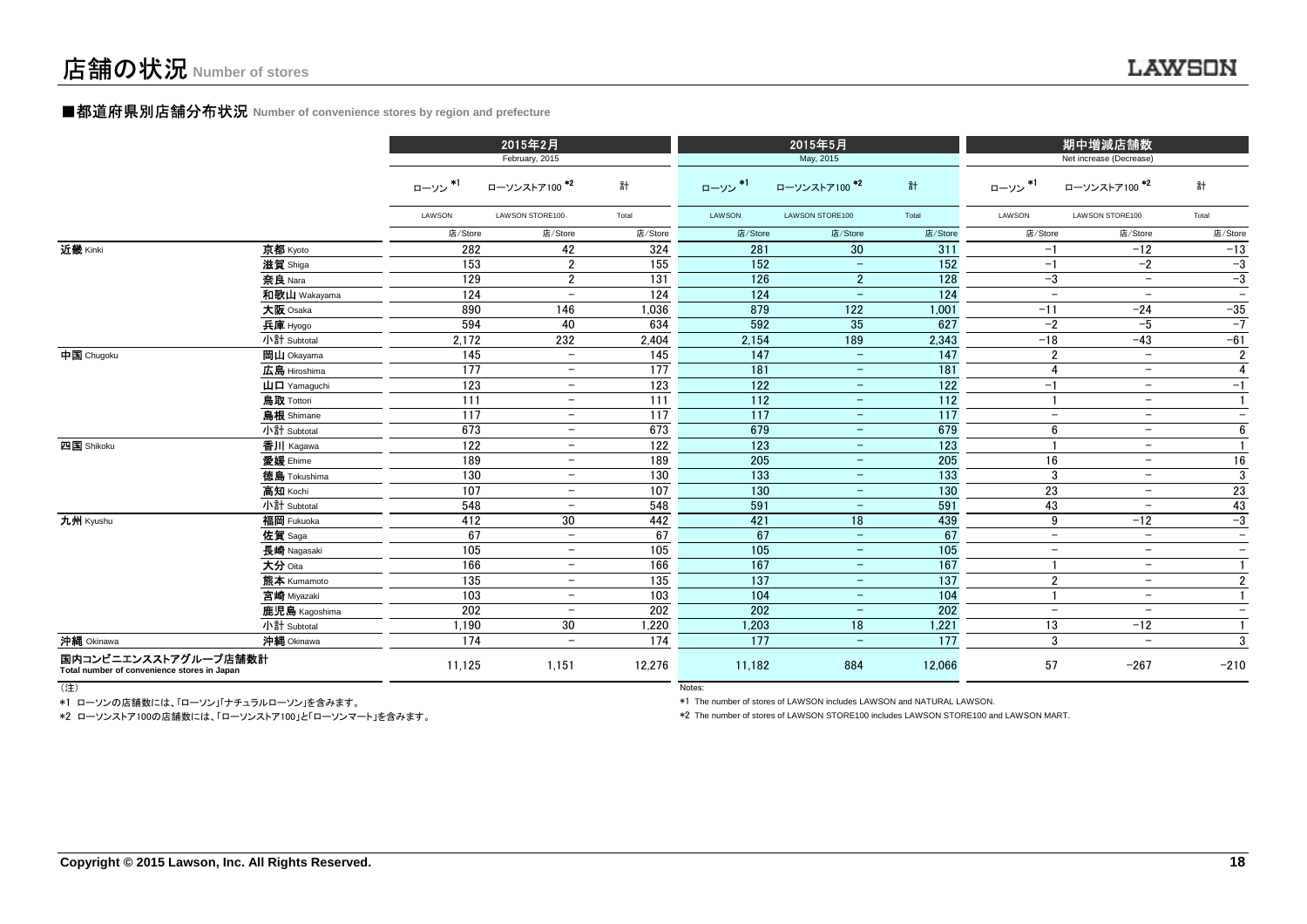#### ■都道府県別店舗分布状況 **Number of convenience stores by region and prefecture**

|                                                                     |                                       | 2015年2月<br>February, 2015 |                          |         |         | 2015年5月<br>May, 2015     |                  | 期中増減店舗数<br>Net increase (Decrease) |                          |                          |
|---------------------------------------------------------------------|---------------------------------------|---------------------------|--------------------------|---------|---------|--------------------------|------------------|------------------------------------|--------------------------|--------------------------|
|                                                                     |                                       | ローソン *1                   | ローソンストア100*2             | 計       | ローソン*1  | ローソンストア100 *2            | 計                | ローソン *1                            | ローソンストア100*2             | 計                        |
|                                                                     |                                       | LAWSON                    | LAWSON STORE100          | Total   | LAWSON  | LAWSON STORE100          | Total            | LAWSON                             | LAWSON STORE100          | Total                    |
|                                                                     |                                       | 店/Store                   | 店/Store                  | 店/Store | 店/Store | 店/Store                  | 店/Store          | 店/Store                            | 店/Store                  | 店/Store                  |
| 近畿 Kinki                                                            | 京都 Kyoto                              | 282                       | 42                       | 324     | 281     | 30                       | 311              | $-1$                               | $-12$                    | $-13$                    |
|                                                                     | 滋賀 Shiga                              | 153                       | $\overline{2}$           | 155     | 152     | $\equiv$                 | 152              | $-1$                               | $-2$                     | $-3$                     |
|                                                                     | 奈良 Nara                               | 129                       | $\overline{2}$           | 131     | 126     | $2^{\circ}$              | 128              | $-3$                               | $\overline{\phantom{m}}$ | $-3$                     |
|                                                                     | 和歌山 Wakayama                          | 124                       | $\overline{\phantom{a}}$ | 124     | 124     | $\overline{\phantom{m}}$ | 124              | $\overline{\phantom{a}}$           | $\overline{\phantom{m}}$ | $\overline{\phantom{a}}$ |
|                                                                     | 大阪 Osaka                              | 890                       | 146                      | 1,036   | 879     | 122                      | 1,001            | $-11$                              | $-24$                    | $-35$                    |
|                                                                     | 兵庫 Hyogo                              | 594                       | 40                       | 634     | 592     | 35                       | 627              | $-2$                               | $-5$                     | $-7$                     |
|                                                                     | 小計 Subtotal                           | 2,172                     | 232                      | 2,404   | 2,154   | 189                      | 2,343            | $-18$                              | $-43$                    | $-61$                    |
| 中国 Chugoku                                                          | <b>岡山</b> Okayama                     | 145                       | $\equiv$                 | 145     | 147     | $\equiv$                 | $\overline{147}$ | $\overline{2}$                     | $\equiv$                 | $\overline{2}$           |
|                                                                     | 広島 Hiroshima                          | 177                       | $\overline{\phantom{a}}$ | 177     | 181     | $\equiv$                 | 181              | $\overline{4}$                     | $\equiv$                 | $\overline{4}$           |
|                                                                     | $\mathbf{H}$ $\mathbf{\Pi}$ Yamaquchi | 123                       | $\equiv$                 | 123     | 122     | $\equiv$                 | 122              | $-1$                               | $-$                      | $-1$                     |
|                                                                     | 鳥取 Tottori                            | 111                       | $\qquad \qquad -$        | 111     | 112     | $-$                      | 112              | $\overline{1}$                     | $ \,$                    | $\mathbf{1}$             |
|                                                                     | <b>島根</b> Shimane                     | 117                       | $\overline{\phantom{a}}$ | 117     | 117     | $\overline{\phantom{m}}$ | 117              | $\overline{\phantom{m}}$           | $\overline{\phantom{m}}$ | $-$                      |
|                                                                     | 小計 Subtotal                           | 673                       | $-$                      | 673     | 679     | $\overline{\phantom{m}}$ | 679              | 6                                  | $\overline{\phantom{m}}$ | 6                        |
| 四国 Shikoku                                                          | 香川 Kagawa                             | 122                       | $\overline{\phantom{a}}$ | 122     | 123     | $-$                      | 123              |                                    | $\overline{\phantom{a}}$ | $\mathbf{1}$             |
|                                                                     | 愛媛 Ehime                              | 189                       | $\qquad \qquad -$        | 189     | 205     | $\qquad \qquad -$        | 205              | 16                                 | $\overline{\phantom{m}}$ | 16                       |
|                                                                     | <b>徳島</b> Tokushima                   | 130                       | $-$                      | 130     | 133     | $\qquad \qquad -$        | 133              | 3                                  | $\qquad \qquad -$        | $\mathbf 3$              |
|                                                                     | 高知 Kochi                              | 107                       | $\overline{\phantom{m}}$ | 107     | 130     | $\overline{\phantom{m}}$ | 130              | 23                                 | $\qquad \qquad -$        | 23                       |
|                                                                     | 小計 Subtotal                           | 548                       | $-$                      | 548     | 591     | $\equiv$                 | 591              | 43                                 | $\overline{\phantom{a}}$ | 43                       |
| 九州 Kyushu                                                           | 福岡 Fukuoka                            | 412                       | 30                       | 442     | 421     | 18                       | 439              | 9                                  | $-12$                    | $-3$                     |
|                                                                     | 佐賀 Saga                               | 67                        | $-$                      | 67      | 67      | $-$                      | 67               | $\overline{\phantom{m}}$           | $\overline{\phantom{m}}$ | $\qquad \qquad -$        |
|                                                                     | 長崎 Nagasaki                           | 105                       | $\overline{\phantom{a}}$ | 105     | 105     | $\qquad \qquad -$        | 105              | $-$                                | $\qquad \qquad -$        | $\overline{\phantom{a}}$ |
|                                                                     | 大分 Oita                               | 166                       | $\overline{\phantom{m}}$ | 166     | 167     | $\qquad \qquad -$        | 167              |                                    | $\qquad \qquad -$        | $\mathbf{1}$             |
|                                                                     | 熊本 Kumamoto                           | 135                       | $\overline{\phantom{0}}$ | 135     | 137     | $\qquad \qquad -$        | 137              | $\overline{2}$                     | $\qquad \qquad -$        | $\overline{2}$           |
|                                                                     | 宮崎 Miyazaki                           | 103                       | $\overline{\phantom{0}}$ | 103     | 104     | $\overline{\phantom{m}}$ | 104              |                                    | $\overline{\phantom{a}}$ | $\mathbf{1}$             |
|                                                                     | 鹿児島 Kagoshima                         | 202                       | $\overline{\phantom{0}}$ | 202     | 202     | $\overline{\phantom{m}}$ | 202              | $\overline{\phantom{a}}$           | $\overline{\phantom{a}}$ | $\overline{\phantom{0}}$ |
|                                                                     | 小計 Subtotal                           | 1,190                     | 30                       | 1,220   | 1,203   | 18                       | 1,221            | 13                                 | $-12$                    | $\mathbf{1}$             |
| 沖縄 Okinawa                                                          | 沖縄 Okinawa                            | 174                       | $\overline{\phantom{0}}$ | 174     | 177     | $\overline{\phantom{m}}$ | 177              | 3                                  | $\overline{\phantom{0}}$ | 3                        |
| 国内コンビニエンスストアグループ店舗数計<br>Total number of convenience stores in Japan |                                       | 11,125                    | 1,151                    | 12,276  | 11,182  | 884                      | 12.066           | 57                                 | $-267$                   | $-210$                   |

(注)

Notes: and the contract of the contract of the contract of the contract of the contract of the contract of the contract of the contract of the contract of the contract of the contract of the contract of the contract of the \*1 ローソンの店舗数には、「ローソン」「ナチュラルローソン」を含みます。

\*2 ローソンストア100の店舗数には、「ローソンストア100」と「ローソンマート」を含みます。

\*1 The number of stores of LAWSON includes LAWSON and NATURAL LAWSON.

\*2 The number of stores of LAWSON STORE100 includes LAWSON STORE100 and LAWSON MART.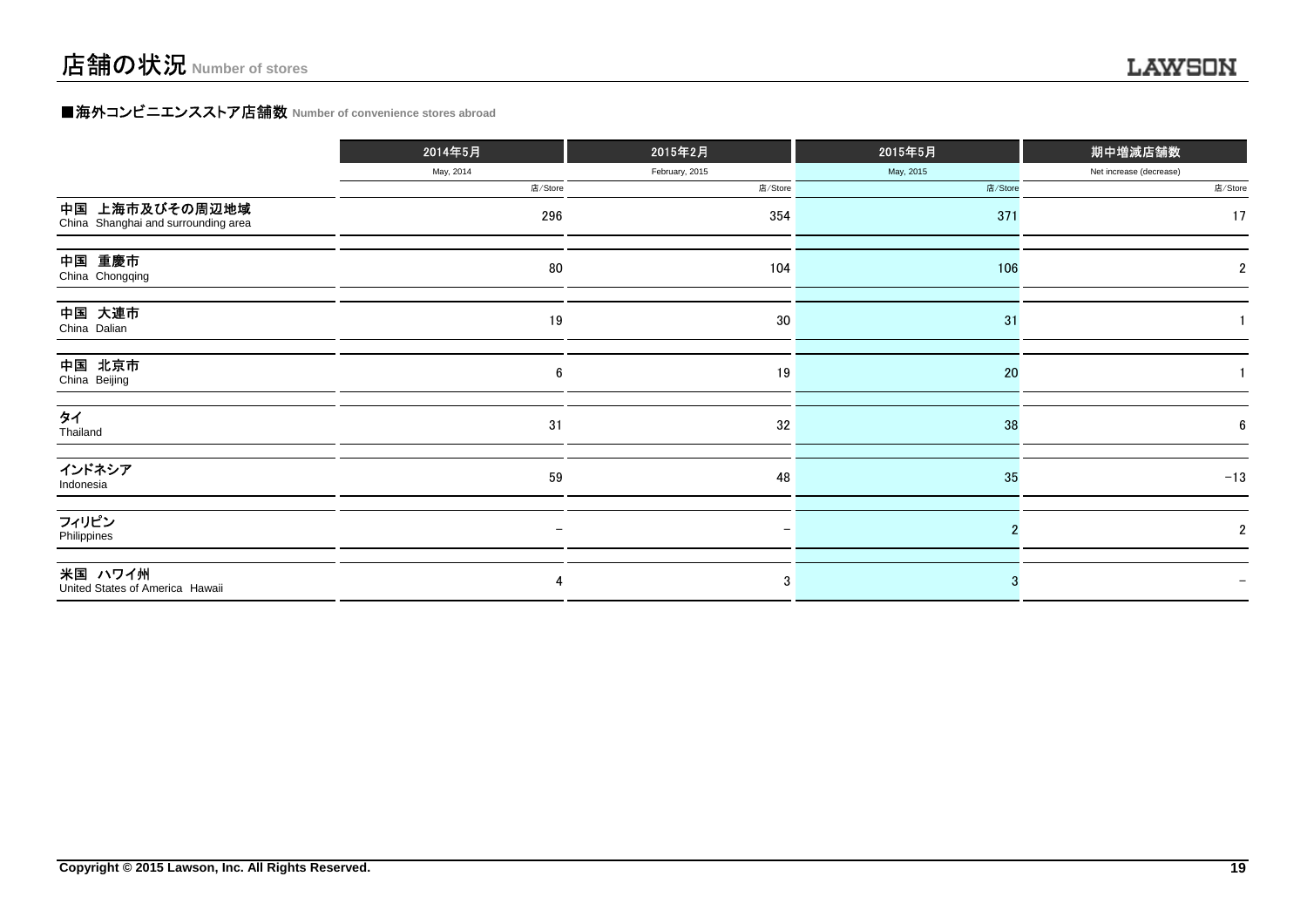### **■海外コンビニエンスストア店舗数 Number of convenience stores abroad**

|                                                       | 2014年5月   | 2015年2月        | 2015年5月   | 期中増減店舗数                 |
|-------------------------------------------------------|-----------|----------------|-----------|-------------------------|
|                                                       | May, 2014 | February, 2015 | May, 2015 | Net increase (decrease) |
|                                                       | 店/Store   | 店/Store        | 店/Store   | 店/Store                 |
| 中国 上海市及びその周辺地域<br>China Shanghai and surrounding area | 296       | 354            | 371       | 17                      |
| 中国 重慶市<br>China Chongqing                             | 80        | 104            | 106       | 2                       |
| 中国 大連市<br>China Dalian                                | 19        | 30             | 31        |                         |
| 中国 北京市<br>China Beijing                               | 6         | 19             | 20        |                         |
| タイ<br>Thailand                                        | 31        | 32             | 38        | 6                       |
| インドネシア<br>Indonesia                                   | 59        | 48             | 35        | $-13$                   |
| フィリピン<br>Philippines                                  |           |                |           | $\overline{2}$          |
| 米国 ハワイ州<br>United States of America Hawaii            | 4         | 3              |           |                         |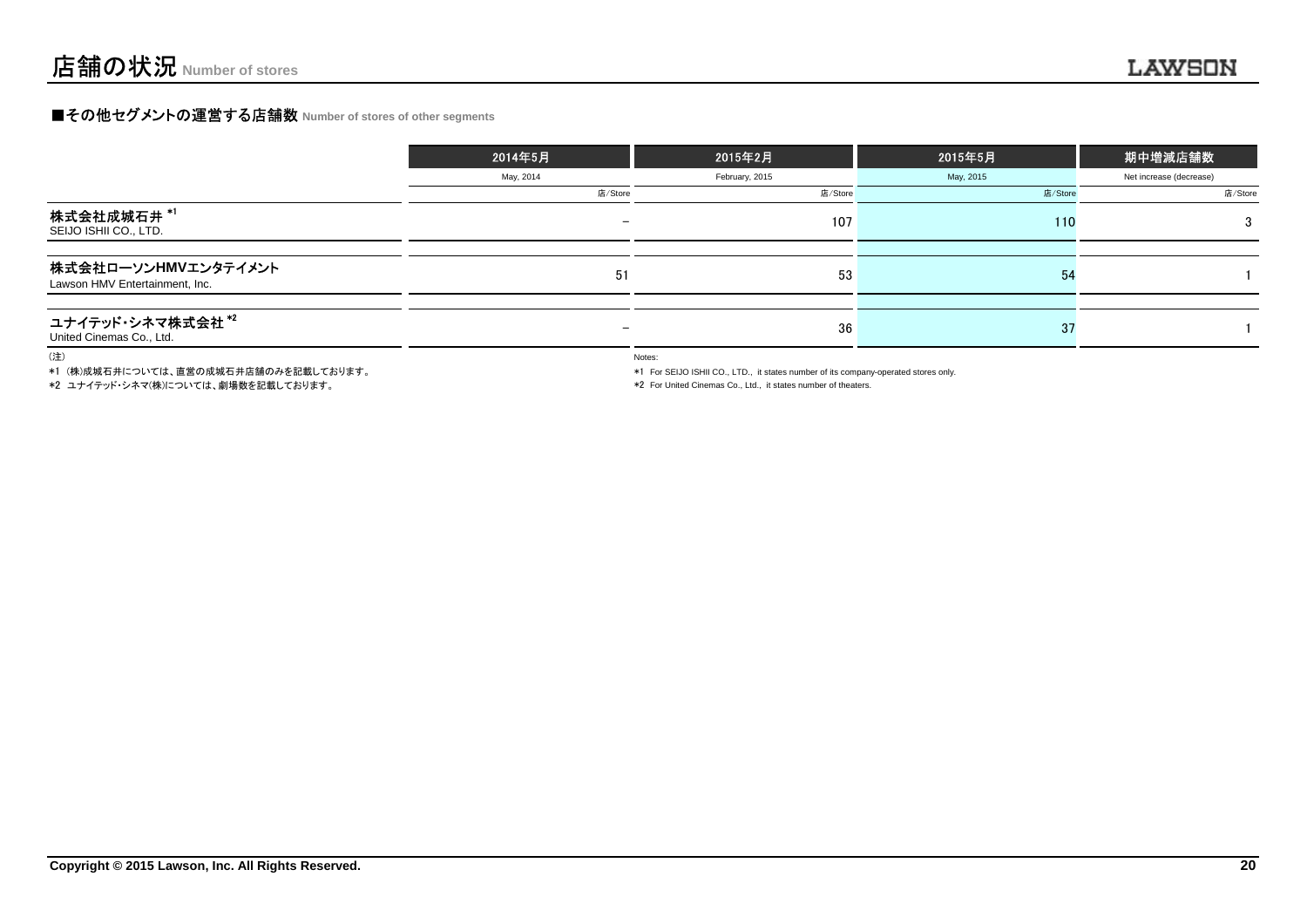### **■その他セグメントの運営する店舗数 Number of stores of other segments**

|                                                       | 2014年5月                  | 2015年2月        | 2015年5月   | 期中増減店舗数                 |
|-------------------------------------------------------|--------------------------|----------------|-----------|-------------------------|
|                                                       | May, 2014                | February, 2015 | May, 2015 | Net increase (decrease) |
|                                                       | 店/Store                  | 店/Store        | 店/Store   | 店/Store                 |
| 株式会社成城石井 *1<br>SEIJO ISHII CO., LTD.                  | $\overline{\phantom{0}}$ | 107            | 110       | 3                       |
|                                                       |                          |                |           |                         |
| 株式会社ローソンHMVエンタテイメント<br>Lawson HMV Entertainment, Inc. | 51                       | 53             | 54        |                         |
|                                                       |                          |                |           |                         |
| ユナイテッド・シネマ株式会社*2<br>United Cinemas Co., Ltd.          | $\overline{\phantom{0}}$ | 36             | -37       |                         |

(注)

\*1 (株)成城石井については、直営の成城石井店舗のみを記載しております。

\*2 ユナイテッド・シネマ(株)については、劇場数を記載しております。

Notes:

\*1 For SEIJO ISHII CO., LTD., it states number of its company-operated stores only.

\*2 For United Cinemas Co., Ltd., it states number of theaters.